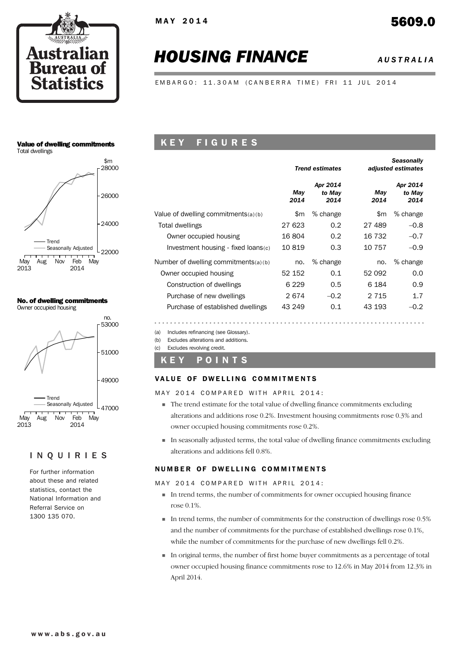

# *HOUSING FINANCE AUSTRALIA*

EMBARGO: 11.30AM (CANBERRA TIME) FRI 11 JUL 2014

### Value of dwelling commitments





### No. of dwelling commitments





### INQUIRIES

For further information about these and related statistics, contact the National Information and Referral Service on 1300 135 070.

### K E Y F I G U R E S

|                                        |             | <b>Trend estimates</b>     |             | <b>Seasonally</b><br>adjusted estimates |
|----------------------------------------|-------------|----------------------------|-------------|-----------------------------------------|
|                                        | May<br>2014 | Apr 2014<br>to May<br>2014 | Mav<br>2014 | Apr 2014<br>to May<br>2014              |
| Value of dwelling commitments $(a)(b)$ | \$m         | % change                   | \$m         | % change                                |
| Total dwellings                        | 27 623      | 0.2                        | 27 489      | $-0.8$                                  |
| Owner occupied housing                 | 16804       | 0.2                        | 16 732      | $-0.7$                                  |
| Investment housing - fixed loans(c)    | 10819       | 0.3                        | 10 757      | $-0.9$                                  |
| Number of dwelling commitments(a)(b)   | no.         | % change                   | no.         | % change                                |
| Owner occupied housing                 | 52 152      | 0.1                        | 52 092      | 0.0                                     |
| Construction of dwellings              | 6 2 2 9     | $0.5^{\circ}$              | 6 184       | 0.9                                     |
| Purchase of new dwellings              | 2674        | $-0.2$                     | 2 7 1 5     | 1.7                                     |
| Purchase of established dwellings      | 43 249      | 0.1                        | 43 193      | $-0.2$                                  |

(a) Includes refinancing (see Glossary).

(b) Excludes alterations and additions.

(c) Excludes revolving credit.

### K E Y P O I N T S

### VALUE OF DWELLING COMMITMENTS

MAY 2014 COMPARED WITH APRIL 2014:

- ! The trend estimate for the total value of dwelling finance commitments excluding alterations and additions rose 0.2%. Investment housing commitments rose 0.3% and owner occupied housing commitments rose 0.2%.
- ! In seasonally adjusted terms, the total value of dwelling finance commitments excluding alterations and additions fell 0.8%.

### NUMBER OF DWELLING COMMITMENTS

MAY 2014 COMPARED WITH APRIL 2014:

- ! In trend terms, the number of commitments for owner occupied housing finance rose 0.1%.
- $\blacksquare$  In trend terms, the number of commitments for the construction of dwellings rose 0.5% and the number of commitments for the purchase of established dwellings rose 0.1%, while the number of commitments for the purchase of new dwellings fell 0.2%.
- ! In original terms, the number of first home buyer commitments as a percentage of total owner occupied housing finance commitments rose to 12.6% in May 2014 from 12.3% in April 2014.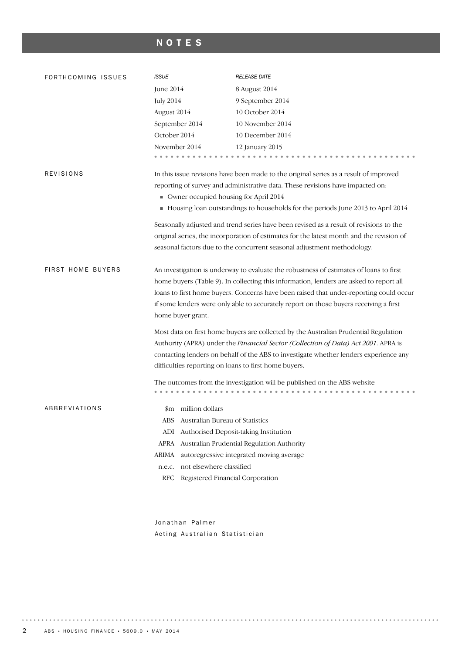# NOTES

| FORTHCOMING ISSUES       | <b>ISSUE</b>                                                                                               | <b>RELEASE DATE</b>                                                                      |  |  |  |  |  |  |
|--------------------------|------------------------------------------------------------------------------------------------------------|------------------------------------------------------------------------------------------|--|--|--|--|--|--|
|                          | June 2014                                                                                                  | 8 August 2014                                                                            |  |  |  |  |  |  |
|                          | <b>July 2014</b>                                                                                           | 9 September 2014                                                                         |  |  |  |  |  |  |
|                          | August 2014                                                                                                | 10 October 2014                                                                          |  |  |  |  |  |  |
|                          | September 2014                                                                                             | 10 November 2014                                                                         |  |  |  |  |  |  |
|                          | October 2014                                                                                               | 10 December 2014                                                                         |  |  |  |  |  |  |
|                          | November 2014                                                                                              | 12 January 2015                                                                          |  |  |  |  |  |  |
|                          |                                                                                                            |                                                                                          |  |  |  |  |  |  |
| <b>REVISIONS</b>         |                                                                                                            | In this issue revisions have been made to the original series as a result of improved    |  |  |  |  |  |  |
|                          |                                                                                                            | reporting of survey and administrative data. These revisions have impacted on:           |  |  |  |  |  |  |
|                          | Owner occupied housing for April 2014                                                                      |                                                                                          |  |  |  |  |  |  |
|                          | Housing loan outstandings to households for the periods June 2013 to April 2014                            |                                                                                          |  |  |  |  |  |  |
|                          |                                                                                                            | Seasonally adjusted and trend series have been revised as a result of revisions to the   |  |  |  |  |  |  |
|                          |                                                                                                            | original series, the incorporation of estimates for the latest month and the revision of |  |  |  |  |  |  |
|                          | seasonal factors due to the concurrent seasonal adjustment methodology.                                    |                                                                                          |  |  |  |  |  |  |
| <b>FIRST HOME BUYERS</b> |                                                                                                            |                                                                                          |  |  |  |  |  |  |
|                          | An investigation is underway to evaluate the robustness of estimates of loans to first                     |                                                                                          |  |  |  |  |  |  |
|                          | home buyers (Table 9). In collecting this information, lenders are asked to report all                     |                                                                                          |  |  |  |  |  |  |
|                          | loans to first home buyers. Concerns have been raised that under-reporting could occur                     |                                                                                          |  |  |  |  |  |  |
|                          | if some lenders were only able to accurately report on those buyers receiving a first<br>home buyer grant. |                                                                                          |  |  |  |  |  |  |
|                          |                                                                                                            |                                                                                          |  |  |  |  |  |  |
|                          | Most data on first home buyers are collected by the Australian Prudential Regulation                       |                                                                                          |  |  |  |  |  |  |
|                          |                                                                                                            | Authority (APRA) under the Financial Sector (Collection of Data) Act 2001. APRA is       |  |  |  |  |  |  |
|                          |                                                                                                            | contacting lenders on behalf of the ABS to investigate whether lenders experience any    |  |  |  |  |  |  |
|                          | difficulties reporting on loans to first home buyers.                                                      |                                                                                          |  |  |  |  |  |  |
|                          |                                                                                                            | The outcomes from the investigation will be published on the ABS website                 |  |  |  |  |  |  |
|                          |                                                                                                            |                                                                                          |  |  |  |  |  |  |
| ABBREVIATIONS            | \$m million dollars                                                                                        |                                                                                          |  |  |  |  |  |  |
|                          | ABS Australian Bureau of Statistics                                                                        |                                                                                          |  |  |  |  |  |  |
|                          | ADI Authorised Deposit-taking Institution                                                                  |                                                                                          |  |  |  |  |  |  |
|                          |                                                                                                            | APRA Australian Prudential Regulation Authority                                          |  |  |  |  |  |  |
|                          | ARIMA autoregressive integrated moving average                                                             |                                                                                          |  |  |  |  |  |  |
|                          | not elsewhere classified<br>n.e.c.                                                                         |                                                                                          |  |  |  |  |  |  |
|                          | RFC Registered Financial Corporation                                                                       |                                                                                          |  |  |  |  |  |  |
|                          |                                                                                                            |                                                                                          |  |  |  |  |  |  |
|                          |                                                                                                            |                                                                                          |  |  |  |  |  |  |

Jonathan Palmer Acting Australian Statistician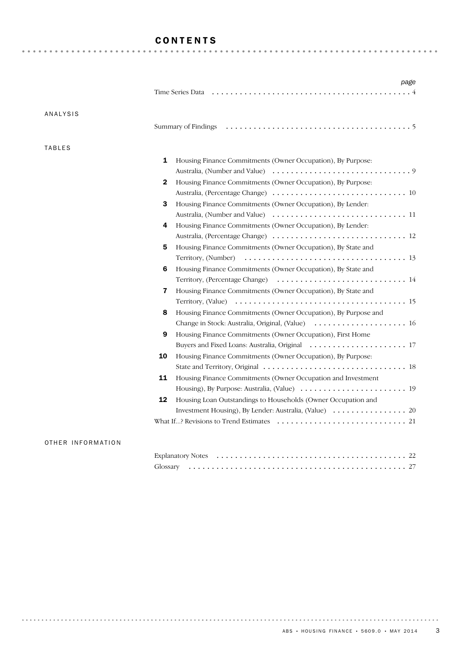### CONTENTS

|               | Time Series Data <i>interpretational content of the Series Data interpretation i.e.</i>                   |
|---------------|-----------------------------------------------------------------------------------------------------------|
| ANALYSIS      |                                                                                                           |
|               |                                                                                                           |
| <b>TABLES</b> |                                                                                                           |
|               | 1<br>Housing Finance Commitments (Owner Occupation), By Purpose:                                          |
|               |                                                                                                           |
|               | Housing Finance Commitments (Owner Occupation), By Purpose:<br>2                                          |
|               |                                                                                                           |
|               | 3<br>Housing Finance Commitments (Owner Occupation), By Lender:                                           |
|               |                                                                                                           |
|               | Housing Finance Commitments (Owner Occupation), By Lender:<br>4                                           |
|               |                                                                                                           |
|               | Housing Finance Commitments (Owner Occupation), By State and<br>5                                         |
|               |                                                                                                           |
|               | Housing Finance Commitments (Owner Occupation), By State and<br>6                                         |
|               |                                                                                                           |
|               | Housing Finance Commitments (Owner Occupation), By State and<br>$\overline{\mathbf{z}}$                   |
|               |                                                                                                           |
|               | Housing Finance Commitments (Owner Occupation), By Purpose and<br>8                                       |
|               |                                                                                                           |
|               | 9<br>Housing Finance Commitments (Owner Occupation), First Home                                           |
|               |                                                                                                           |
|               | 10<br>Housing Finance Commitments (Owner Occupation), By Purpose:                                         |
|               |                                                                                                           |
|               | 11<br>Housing Finance Commitments (Owner Occupation and Investment                                        |
|               |                                                                                                           |
|               | 12<br>Housing Loan Outstandings to Households (Owner Occupation and                                       |
|               |                                                                                                           |
|               | What If? Revisions to Trend Estimates $\dots \dots \dots \dots \dots \dots \dots \dots \dots \dots \dots$ |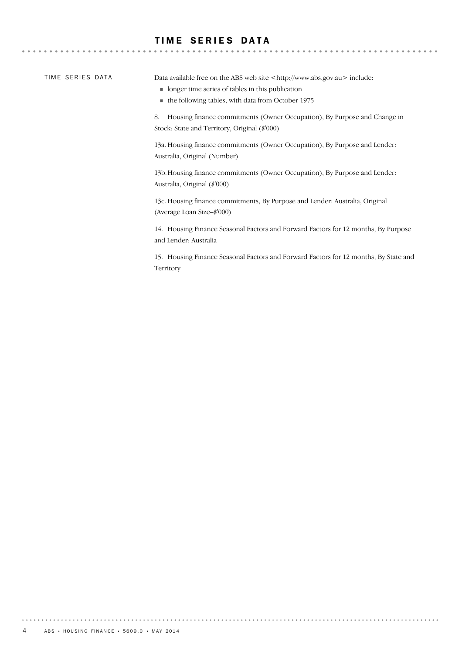### TIME SERIES DATA

TIME SERIES DATA

 $-0.000$ 

Data available free on the ABS web site <http://www.abs.gov.au> include:

- ! longer time series of tables in this publication
- ! the following tables, with data from October 1975

8. Housing finance commitments (Owner Occupation), By Purpose and Change in Stock: State and Territory, Original (\$'000)

13a. Housing finance commitments (Owner Occupation), By Purpose and Lender: Australia, Original (Number)

13b.Housing finance commitments (Owner Occupation), By Purpose and Lender: Australia, Original (\$'000)

13c. Housing finance commitments, By Purpose and Lender: Australia, Original (Average Loan Size–\$'000)

14. Housing Finance Seasonal Factors and Forward Factors for 12 months, By Purpose and Lender: Australia

15. Housing Finance Seasonal Factors and Forward Factors for 12 months, By State and Territory

. . . . . . . . .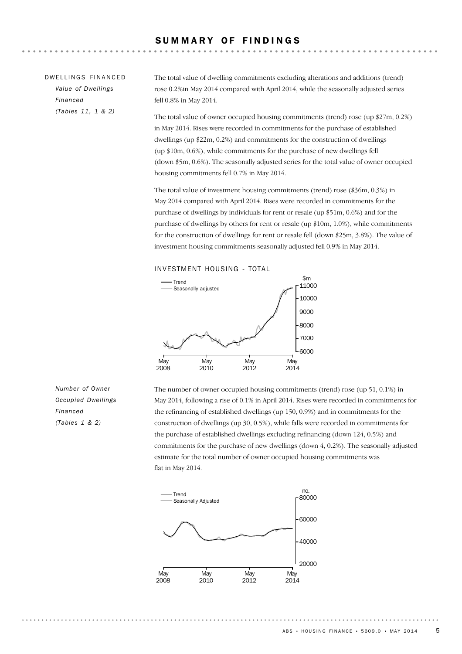| DWELLINGS FINANCED | The total value of dwelling commitments excluding alterations and additions (trend)  |
|--------------------|--------------------------------------------------------------------------------------|
| Value of Dwellings | rose 0.2% in May 2014 compared with April 2014, while the seasonally adjusted series |
| Financed           | fell 0.8% in May 2014.                                                               |
| (Tables 11, 1 & 2) | The total value of owner occupied housing commitments (trend) rose (up $27m$ , 0.2   |

 $(up $27m, 0.2%)$ in May 2014. Rises were recorded in commitments for the purchase of established dwellings (up \$22m, 0.2%) and commitments for the construction of dwellings (up \$10m, 0.6%), while commitments for the purchase of new dwellings fell (down \$5m, 0.6%). The seasonally adjusted series for the total value of owner occupied housing commitments fell 0.7% in May 2014.

The total value of investment housing commitments (trend) rose (\$36m, 0.3%) in May 2014 compared with April 2014. Rises were recorded in commitments for the purchase of dwellings by individuals for rent or resale (up \$51m, 0.6%) and for the purchase of dwellings by others for rent or resale (up \$10m, 1.0%), while commitments for the construction of dwellings for rent or resale fell (down \$25m, 3.8%). The value of investment housing commitments seasonally adjusted fell 0.9% in May 2014.





The number of owner occupied housing commitments (trend) rose (up 51, 0.1%) in May 2014, following a rise of 0.1% in April 2014. Rises were recorded in commitments for the refinancing of established dwellings (up 150, 0.9%) and in commitments for the construction of dwellings (up 30, 0.5%), while falls were recorded in commitments for the purchase of established dwellings excluding refinancing (down 124, 0.5%) and commitments for the purchase of new dwellings (down 4, 0.2%). The seasonally adjusted estimate for the total number of owner occupied housing commitments was flat in May 2014.



*Number of Owner Occupied Dwellings Financed (Tables 1 & 2)*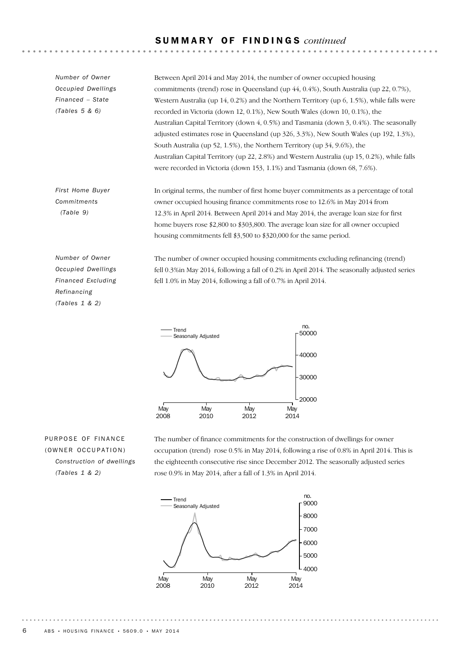### S U M M A R Y O F F I N D I N G S *continued*

In original terms, the number of first home buyer commitments as a percentage of total owner occupied housing finance commitments rose to 12.6% in May 2014 from 12.3% in April 2014. Between April 2014 and May 2014, the average loan size for first home buyers rose \$2,800 to \$303,800. The average loan size for all owner occupied *First Home Buyer Commitments (Table 9)* Between April 2014 and May 2014, the number of owner occupied housing commitments (trend) rose in Queensland (up 44, 0.4%), South Australia (up 22, 0.7%), Western Australia (up 14, 0.2%) and the Northern Territory (up 6, 1.5%), while falls were recorded in Victoria (down 12, 0.1%), New South Wales (down 10, 0.1%), the Australian Capital Territory (down 4, 0.5%) and Tasmania (down 3, 0.4%). The seasonally adjusted estimates rose in Queensland (up 326, 3.3%), New South Wales (up 192, 1.3%), South Australia (up 52, 1.5%), the Northern Territory (up 34, 9.6%), the Australian Capital Territory (up 22, 2.8%) and Western Australia (up 15, 0.2%), while falls were recorded in Victoria (down 153, 1.1%) and Tasmania (down 68, 7.6%). *Number of Owner Occupied Dwellings Financed – State (Tables 5 & 6)*

housing commitments fell \$3,500 to \$320,000 for the same period.

*Number of Owner Occupied Dwellings Financed Excluding Refinancing (Tables 1 & 2)*

The number of owner occupied housing commitments excluding refinancing (trend) fell 0.3%in May 2014, following a fall of 0.2% in April 2014. The seasonally adjusted series fell 1.0% in May 2014, following a fall of 0.7% in April 2014.



PURPOSE OF FINANCE (OWNER OCCUPATION) *Construction of dwellings (Tables 1 & 2)*

The number of finance commitments for the construction of dwellings for owner occupation (trend) rose 0.5% in May 2014, following a rise of 0.8% in April 2014. This is the eighteenth consecutive rise since December 2012. The seasonally adjusted series rose 0.9% in May 2014, after a fall of 1.3% in April 2014.

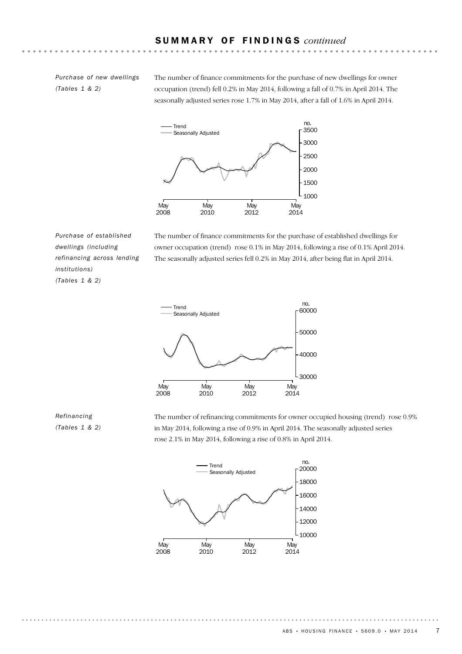*Purchase of new dwellings (Tables 1 & 2)*

The number of finance commitments for the purchase of new dwellings for owner occupation (trend) fell 0.2% in May 2014, following a fall of 0.7% in April 2014. The seasonally adjusted series rose 1.7% in May 2014, after a fall of 1.6% in April 2014.



*Purchase of established dwellings (including refinancing across lending institutions) (Tables 1 & 2)*

The number of finance commitments for the purchase of established dwellings for owner occupation (trend) rose 0.1% in May 2014, following a rise of 0.1% April 2014. The seasonally adjusted series fell 0.2% in May 2014, after being flat in April 2014.



*Refinancing (Tables 1 & 2)* The number of refinancing commitments for owner occupied housing (trend) rose 0.9% in May 2014, following a rise of 0.9% in April 2014. The seasonally adjusted series rose 2.1% in May 2014, following a rise of 0.8% in April 2014.

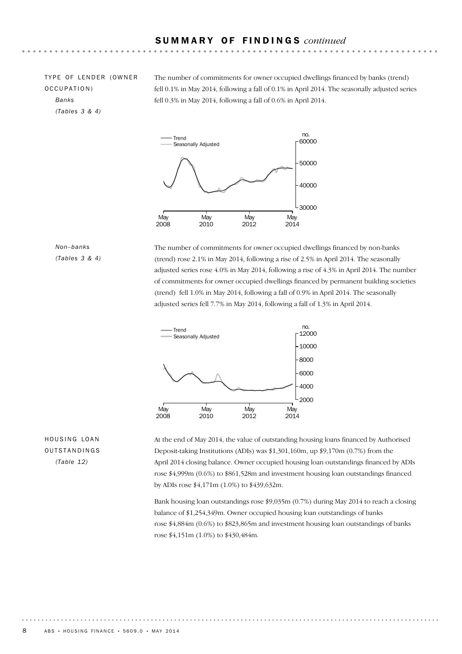TYPE OF LENDER (OWNER OCCUPATION) *Banks (Tables 3 & 4)*

The number of commitments for owner occupied dwellings financed by banks (trend) fell 0.1% in May 2014, following a fall of 0.1% in April 2014. The seasonally adjusted series fell 0.3% in May 2014, following a fall of 0.6% in April 2014.



### *Non–banks (Tables 3 & 4)*

The number of commitments for owner occupied dwellings financed by non-banks (trend) rose 2.1% in May 2014, following a rise of 2.5% in April 2014. The seasonally adjusted series rose 4.0% in May 2014, following a rise of 4.3% in April 2014. The number of commitments for owner occupied dwellings financed by permanent building societies (trend) fell 1.0% in May 2014, following a fall of 0.9% in April 2014. The seasonally adjusted series fell 7.7% in May 2014, following a fall of 1.3% in April 2014.



### HOUSING LOAN OUTSTANDINGS *(Table 12)*

At the end of May 2014, the value of outstanding housing loans financed by Authorised Deposit-taking Institutions (ADIs) was \$1,301,160m, up \$9,170m (0.7%) from the April 2014 closing balance. Owner occupied housing loan outstandings financed by ADIs rose \$4,999m (0.6%) to \$861,528m and investment housing loan outstandings financed by ADIs rose \$4,171m (1.0%) to \$439,632m.

Bank housing loan outstandings rose \$9,035m (0.7%) during May 2014 to reach a closing balance of \$1,254,349m. Owner occupied housing loan outstandings of banks rose \$4,884m (0.6%) to \$823,865m and investment housing loan outstandings of banks rose \$4,151m (1.0%) to \$430,484m.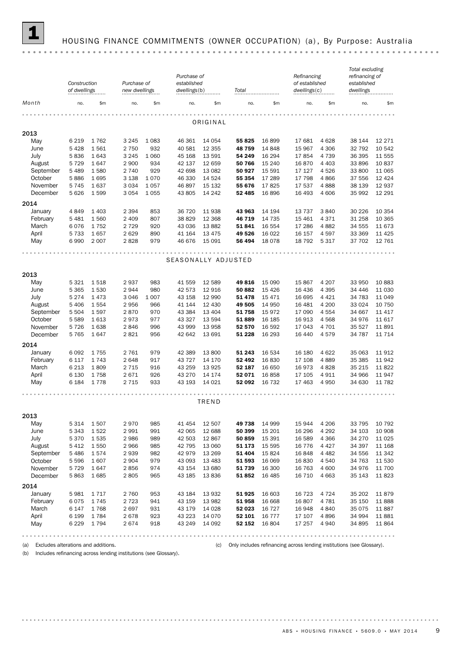

## 1 HOUSING FINANCE COMMITMENTS (OWNER OCCUPATION) (a) , By Purpose: Australia

|                     | Construction<br>of dwellings |              | Purchase of<br>Purchase of<br>established<br>dwellings(b)<br>new dwellings<br>Total |            |                     | Refinancing<br>of established<br>dwellings(c) |                  | Total excluding<br>refinancing of<br>established<br>dwellings |                  |                 |                  |                  |
|---------------------|------------------------------|--------------|-------------------------------------------------------------------------------------|------------|---------------------|-----------------------------------------------|------------------|---------------------------------------------------------------|------------------|-----------------|------------------|------------------|
| Month               | no.                          | \$m          | no.                                                                                 | \$m\$      | no.                 | \$m                                           | no.              | \$m\$                                                         | no.              | $\mathsf{Sm}$   | no.              | \$m              |
|                     |                              |              |                                                                                     |            |                     |                                               |                  |                                                               |                  |                 |                  |                  |
|                     |                              |              |                                                                                     |            |                     | ORIGINAL                                      |                  |                                                               |                  |                 |                  |                  |
| 2013                |                              |              |                                                                                     |            |                     |                                               |                  |                                                               |                  |                 |                  |                  |
| May                 | 6 2 1 9                      | 1762         | 3 2 4 5                                                                             | 1 0 8 3    | 46 361              | 14 0 54                                       | 55 825           | 16899                                                         | 17 681           | 4628            | 38 144           | 12 27 1          |
| June                | 5 4 2 8                      | 1561         | 2 7 5 0                                                                             | 932        | 40 581              | 12 3 5 5                                      | 48759            | 14 848                                                        | 15 967           | 4 3 0 6         | 32 792           | 10 542           |
| July                | 5836                         | 1643         | 3 2 4 5                                                                             | 1 0 6 0    | 45 168              | 13 591                                        | 54 249           | 16 294                                                        | 17854            | 4 7 3 9         | 36 395           | 11 555           |
| August              | 5 7 2 9                      | 1647         | 2 9 0 0                                                                             | 934        | 42 137              | 12 659                                        | 50 766           | 15 240                                                        | 16870            | 4 4 0 3         | 33 896           | 10837            |
| September           | 5 4 8 9                      | 1580         | 2 7 4 0                                                                             | 929        | 42 698              | 13 08 2                                       | 50 927           | 15 5 91                                                       | 17 127           | 4526            | 33 800           | 11 065           |
| October             | 5886                         | 1695         | 3 1 3 8                                                                             | 1070       | 46 330              | 14 5 24                                       | 55 354           | 17 289                                                        | 17 798           | 4866            | 37 556           | 12 4 24          |
| November            | 5745                         | 1637         | 3 0 3 4                                                                             | 1057       | 46 897              | 15 132                                        | 55 676           | 17825                                                         | 17 537           | 4888            | 38 139           | 12 937           |
| December            | 5 6 2 6                      | 1599         | 3 0 5 4                                                                             | 1 0 5 5    | 43 805              | 14 24 2                                       | 52 485           | 16896                                                         | 16 493           | 4 60 6          | 35 992           | 12 29 1          |
| 2014                |                              |              |                                                                                     |            |                     |                                               |                  |                                                               |                  |                 |                  |                  |
| January             | 4849                         | 1 4 0 3      | 2 3 9 4                                                                             | 853        | 36 720              | 11 938                                        | 43 963           | 14 194                                                        | 13 7 3 7         | 3840            | 30 226           | 10 354           |
| February            | 5481                         | 1560         | 2 4 0 9                                                                             | 807        | 38829               | 12 3 68                                       | 46 719           | 14 7 35                                                       | 15 4 61          | 4371            | 31 258           | 10 365           |
| March               | 6076                         | 1752         | 2 7 2 9                                                                             | 920        | 43 0 36             | 13882                                         | 51 841           | 16 5 54                                                       | 17 286           | 4882            | 34 555           | 11 673           |
| April               | 5 7 3 3                      | 1657         | 2 6 2 9                                                                             | 890        | 41 164              | 13 4 7 5                                      | 49 526           | 16 0 22                                                       | 16 157           | 4597            | 33 369           | 11 4 25          |
| May                 | 6990                         | 2 0 0 7      | 2828                                                                                | 979        | 46 676              | 15 091                                        | 56 494           | 18 0 78                                                       | 18 792           | 5317            | 37 702           | 12 761           |
|                     |                              |              |                                                                                     |            |                     |                                               |                  |                                                               |                  |                 |                  |                  |
|                     |                              |              |                                                                                     |            | SEASONALLY ADJUSTED |                                               |                  |                                                               |                  |                 |                  |                  |
|                     |                              |              |                                                                                     |            |                     |                                               |                  |                                                               |                  |                 |                  |                  |
| 2013                |                              |              |                                                                                     |            |                     |                                               |                  |                                                               |                  |                 |                  |                  |
| May                 | 5 3 2 1                      | 1518         | 2937                                                                                | 983        | 41 559              | 12 589                                        | 49816            | 15 0 90                                                       | 15867            | 4 2 0 7         | 33 950           | 10883            |
| June                | 5 3 6 5                      | 1530         | 2944                                                                                | 980        | 42 573              | 12 916                                        | 50 882           | 15 4 26                                                       | 16 436           | 4 3 9 5         | 34 446           | 11 030           |
| July                | 5 2 7 4                      | 1473         | 3 0 4 6                                                                             | 1 0 0 7    | 43 158              | 12 990                                        | 51 478           | 15 4 7 1                                                      | 16 695           | 4 4 2 1         | 34 783           | 11 049           |
| August<br>September | 5 4 0 6                      | 1554         | 2956                                                                                | 966        | 41 144              | 12 4 30                                       | 49 505           | 14 950                                                        | 16 481           | 4 200           | 33 0 24          | 10 750           |
| October             | 5 5 0 4<br>5 5 8 9           | 1597<br>1613 | 2870<br>2973                                                                        | 970<br>977 | 43 384<br>43 327    | 13 4 04<br>13 5 94                            | 51758<br>51889   | 15972<br>16 185                                               | 17 090<br>16 913 | 4 5 5 4<br>4568 | 34 667<br>34 976 | 11 417<br>11 617 |
| November            | 5726                         | 1638         | 2846                                                                                | 996        | 43 999              | 13 958                                        | 52 570           | 16 592                                                        | 17 043           | 4 7 0 1         | 35 527           | 11891            |
| December            | 5 7 6 5                      | 1647         | 2821                                                                                | 956        | 42 642              | 13 691                                        | 51 228           | 16 293                                                        | 16 440           | 4579            | 34 787           | 11 7 14          |
|                     |                              |              |                                                                                     |            |                     |                                               |                  |                                                               |                  |                 |                  |                  |
| 2014                | 6 0 9 2                      |              | 2 7 6 1                                                                             | 979        | 42 389              | 13 800                                        |                  | 16 534                                                        |                  | 4622            |                  | 11912            |
| January<br>February | 6 1 1 7                      | 1755<br>1743 | 2 6 4 8                                                                             | 917        | 43 727              | 14 170                                        | 51 243<br>52 492 | 16 830                                                        | 16 180<br>17 108 | 4889            | 35 063<br>35 385 | 11942            |
| March               | 6 2 1 3                      | 1809         | 2 7 1 5                                                                             | 916        | 43 259              | 13 9 25                                       | 52 187           | 16 650                                                        | 16973            | 4828            | 35 215           | 11822            |
| April               | 6 1 3 0                      | 1758         | 2671                                                                                | 926        | 43 270              | 14 174                                        | 52 071           | 16858                                                         | 17 105           | 4911            | 34 966           | 11947            |
| May                 | 6 184                        | 1778         | 2 7 1 5                                                                             | 933        | 43 193              | 14 0 21                                       | 52 092           | 16 732                                                        | 17 463           | 4950            | 34 630           | 11 782           |
|                     |                              |              |                                                                                     |            |                     |                                               |                  |                                                               |                  |                 |                  |                  |
|                     |                              |              |                                                                                     |            |                     |                                               |                  |                                                               |                  |                 |                  |                  |
|                     |                              |              |                                                                                     |            |                     | TREND                                         |                  |                                                               |                  |                 |                  |                  |
| 2013                |                              |              |                                                                                     |            |                     |                                               |                  |                                                               |                  |                 |                  |                  |
| May                 | 5 3 1 4                      | 1507         | 2970                                                                                | 985        | 41 454              | 12 507                                        | 49 738           | 14 9 99                                                       | 15 944           | 4 2 0 6         | 33 795           | 10 792           |
| June                | 5 3 4 3                      | 1522         | 2991                                                                                | 991        | 42 065              | 12 688                                        | 50 399           | 15 201                                                        | 16 29 6          | 4 2 9 2         | 34 103           | 10 908           |
| July                | 5 3 7 0                      | 1535         | 2986                                                                                | 989        | 42 503              | 12 867                                        | 50 859           | 15 3 9 1                                                      | 16 589           | 4 3 6 6         | 34 270           | 11 0 25          |
| August              | 5 4 1 2                      | 1550         | 2 9 6 6                                                                             | 985        | 42 795              | 13 060                                        | 51 173           | 15 5 95                                                       | 16 7 7 6         | 4 4 2 7         | 34 397           | 11 168           |
| September           | 5 4 8 6                      | 1574         | 2939                                                                                | 982        | 42 979              | 13 26 9                                       | 51 404           | 15824                                                         | 16848            | 4 4 8 2         | 34 556           | 11 342           |
| October             | 5 5 9 6                      | 1607         | 2 9 0 4                                                                             | 979        | 43 093              | 13 4 83                                       | 51 593           | 16 069                                                        | 16830            | 4540            | 34 763           | 11 530           |
| November            | 5 7 2 9                      | 1647         | 2856                                                                                | 974        | 43 154              | 13 680                                        | 51 739           | 16 300                                                        | 16 763           | 4 600           | 34976            | 11 700           |
| December            | 5863                         | 1685         | 2805                                                                                | 965        | 43 185              | 13 8 36                                       | 51852            | 16 4 85                                                       | 16 710           | 4 6 63          | 35 143           | 11823            |
| 2014                |                              |              |                                                                                     |            |                     |                                               |                  |                                                               |                  |                 |                  |                  |
| January             | 5981                         | 1717         | 2 7 6 0                                                                             | 953        | 43 184              | 13 932                                        | 51 925           | 16 603                                                        | 16 723           | 4 7 2 4         | 35 202           | 11879            |
| February            | 6075                         | 1745         | 2 7 2 3                                                                             | 941        | 43 159              | 13 982                                        | 51 958           | 16 668                                                        | 16807            | 4781            | 35 150           | 11888            |
| March               | 6 1 4 7                      | 1768         | 2 6 9 7                                                                             | 931        | 43 179              | 14 0 28                                       | 52 023           | 16 7 27                                                       | 16948            | 4840            | 35 0 75          | 11887            |
| April               | 6 1 9 9                      | 1784         | 2678                                                                                | 923        | 43 2 23             | 14 070                                        | 52 101           | 16 7 7 7                                                      | 17 107           | 4896            | 34 994           | 11881            |
| May                 | 6 2 2 9                      | 1794         | 2674                                                                                | 918        | 43 249              | 14 092                                        | 52 152           | 16 804                                                        | 17 257           | 4940            | 34 895           | 11864            |
|                     |                              |              |                                                                                     |            |                     |                                               |                  |                                                               |                  |                 |                  | 0.0.0.0.0.0.0    |

(a) Excludes alterations and additions. (c) Only includes refinancing across lending institutions (see Glossary).

(b) Includes refinancing across lending institutions (see Glossary).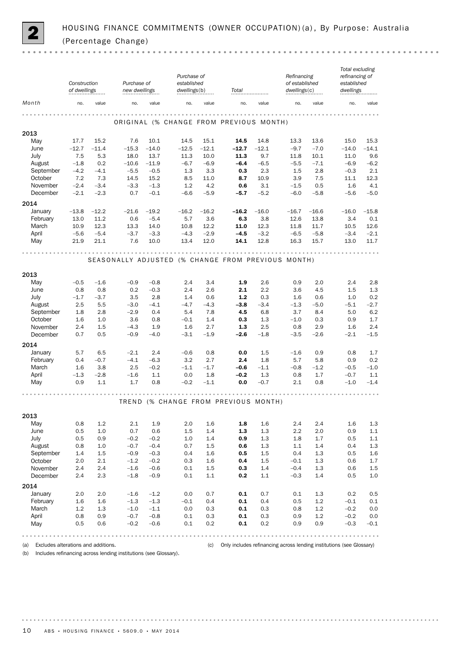

|             | Construction<br>of dwellings |         | Purchase of<br>new dwellings |         | Purchase of<br>established<br>dwellings(b) |         | Total                                              |         | Refinancing<br>of established<br>dwellings(c) |                 | Total excluding<br>refinancing of<br>established<br>dwellings |         |
|-------------|------------------------------|---------|------------------------------|---------|--------------------------------------------|---------|----------------------------------------------------|---------|-----------------------------------------------|-----------------|---------------------------------------------------------------|---------|
| Month       | no.                          | value   | no.                          | value   | no.                                        | value   | no.                                                | value   | no.                                           | value           | no.                                                           | value   |
|             |                              |         |                              |         | $-0.0000$                                  |         |                                                    |         | .                                             |                 |                                                               |         |
|             |                              |         |                              |         |                                            |         | ORIGINAL (% CHANGE FROM PREVIOUS MONTH)            |         |                                               |                 |                                                               |         |
| 2013<br>May | 17.7                         | 15.2    | 7.6                          | 10.1    | 14.5                                       | 15.1    | 14.5                                               | 14.8    | 13.3                                          | 13.6            | 15.0                                                          | 15.3    |
| June        | $-12.7$                      | $-11.4$ | $-15.3$                      | $-14.0$ | $-12.5$                                    | $-12.1$ | $-12.7$                                            | $-12.1$ | $-9.7$                                        | $-7.0$          | $-14.0$                                                       | $-14.1$ |
| July        | 7.5                          | 5.3     | 18.0                         | 13.7    | 11.3                                       | 10.0    | 11.3                                               | 9.7     | 11.8                                          | 10.1            | 11.0                                                          | 9.6     |
| August      | $-1.8$                       | 0.2     | $-10.6$                      | $-11.9$ | $-6.7$                                     | $-6.9$  | $-6.4$                                             | $-6.5$  | $-5.5$                                        | $-7.1$          | $-6.9$                                                        | $-6.2$  |
| September   | $-4.2$                       | $-4.1$  | $-5.5$                       | $-0.5$  | 1.3                                        | 3.3     | 0.3                                                | 2.3     | 1.5                                           | 2.8             | $-0.3$                                                        | 2.1     |
| October     | 7.2                          | 7.3     | 14.5                         | 15.2    | 8.5                                        | 11.0    | 8.7                                                | 10.9    | 3.9                                           | 7.5             | 11.1                                                          | 12.3    |
| November    | $-2.4$                       | $-3.4$  | $-3.3$                       | $-1.3$  | 1.2                                        | 4.2     | 0.6                                                | 3.1     | $-1.5$                                        | 0.5             | 1.6                                                           | 4.1     |
| December    | $-2.1$                       | $-2.3$  | 0.7                          | $-0.1$  | $-6.6$                                     | $-5.9$  | $-5.7$                                             | $-5.2$  | $-6.0$                                        | $-5.8$          | $-5.6$                                                        | $-5.0$  |
| 2014        |                              |         |                              |         |                                            |         |                                                    |         |                                               |                 |                                                               |         |
| January     | $-13.8$                      | $-12.2$ | $-21.6$                      | $-19.2$ | $-16.2$                                    | $-16.2$ | $-16.2$                                            | $-16.0$ | $-16.7$                                       | $-16.6$         | $-16.0$                                                       | $-15.8$ |
| February    | 13.0                         | 11.2    | 0.6                          | $-5.4$  | 5.7                                        | 3.6     | 6.3                                                | 3.8     | 12.6                                          | 13.8            | 3.4                                                           | 0.1     |
| March       | 10.9                         | 12.3    | 13.3                         | 14.0    | 10.8                                       | 12.2    | 11.0                                               | 12.3    | 11.8                                          | 11.7            | 10.5                                                          | 12.6    |
| April       | $-5.6$                       | $-5.4$  | $-3.7$                       | $-3.3$  | $-4.3$                                     | $-2.9$  | $-4.5$                                             | $-3.2$  | $-6.5$                                        | $-5.8$          | $-3.4$                                                        | $-2.1$  |
| May         | 21.9                         | 21.1    | 7.6                          | 10.0    | 13.4                                       | 12.0    | 14.1                                               | 12.8    | 16.3                                          | 15.7            | 13.0                                                          | 11.7    |
|             |                              |         |                              |         |                                            |         | .                                                  |         |                                               | <b>AAAAAAAA</b> |                                                               |         |
|             |                              |         |                              |         |                                            |         | SEASONALLY ADJUSTED (% CHANGE FROM PREVIOUS MONTH) |         |                                               |                 |                                                               |         |
| 2013        |                              |         |                              |         |                                            |         |                                                    |         |                                               |                 |                                                               |         |
| May         | $-0.5$                       | $-1.6$  | $-0.9$                       | $-0.8$  | 2.4                                        | 3.4     | 1.9                                                | 2.6     | 0.9                                           | 2.0             | 2.4                                                           | 2.8     |
| June        | 0.8                          | 0.8     | 0.2                          | $-0.3$  | 2.4                                        | 2.6     | 2.1                                                | 2.2     | 3.6                                           | 4.5             | 1.5                                                           | 1.3     |
| July        | $-1.7$                       | $-3.7$  | 3.5                          | 2.8     | 1.4                                        | 0.6     | $1.2$                                              | 0.3     | 1.6                                           | 0.6             | 1.0                                                           | 0.2     |
| August      | 2.5                          | 5.5     | $-3.0$                       | $-4.1$  | $-4.7$                                     | $-4.3$  | $-3.8$                                             | $-3.4$  | $-1.3$                                        | $-5.0$          | $-5.1$                                                        | $-2.7$  |
| September   | 1.8                          | 2.8     | $-2.9$                       | 0.4     | 5.4                                        | 7.8     | 4.5                                                | 6.8     | 3.7                                           | 8.4             | 5.0                                                           | 6.2     |
| October     | 1.6                          | 1.0     | 3.6                          | 0.8     | $-0.1$                                     | 1.4     | 0.3                                                | 1.3     | $-1.0$                                        | 0.3             | 0.9                                                           | 1.7     |
| November    | 2.4                          | 1.5     | $-4.3$                       | 1.9     | 1.6                                        | 2.7     | 1.3                                                | 2.5     | 0.8                                           | 2.9             | 1.6                                                           | 2.4     |
| December    | 0.7                          | 0.5     | $-0.9$                       | $-4.0$  | $-3.1$                                     | $-1.9$  | $-2.6$                                             | $-1.8$  | $-3.5$                                        | $-2.6$          | $-2.1$                                                        | $-1.5$  |
| 2014        |                              |         |                              |         |                                            |         |                                                    |         |                                               |                 |                                                               |         |
| January     | 5.7                          | 6.5     | $-2.1$                       | 2.4     | $-0.6$                                     | 0.8     | 0.0                                                | 1.5     | $-1.6$                                        | 0.9             | 0.8                                                           | 1.7     |
| February    | 0.4                          | $-0.7$  | $-4.1$                       | $-6.3$  | 3.2                                        | 2.7     | 2.4                                                | 1.8     | 5.7                                           | 5.8             | 0.9                                                           | 0.2     |
| March       | 1.6                          | 3.8     | 2.5                          | $-0.2$  | $-1.1$                                     | $-1.7$  | $-0.6$                                             | $-1.1$  | $-0.8$                                        | $-1.2$          | $-0.5$                                                        | $-1.0$  |
| April       | $-1.3$                       | $-2.8$  | $-1.6$                       | 1.1     | 0.0                                        | 1.8     | $-0.2$                                             | 1.3     | 0.8                                           | 1.7             | $-0.7$                                                        | 1.1     |
| May         | 0.9                          | 1.1     | 1.7                          | 0.8     | $-0.2$                                     | $-1.1$  | 0.0                                                | $-0.7$  | 2.1                                           | 0.8             | $-1.0$                                                        | $-1.4$  |
|             |                              |         |                              |         |                                            |         |                                                    |         |                                               |                 |                                                               |         |
|             |                              |         |                              |         |                                            |         | TREND (% CHANGE FROM PREVIOUS MONTH)               |         |                                               |                 |                                                               |         |
|             |                              |         |                              |         |                                            |         |                                                    |         |                                               |                 |                                                               |         |
| 2013<br>May | 0.8                          | 1.2     | 2.1                          | 1.9     | 2.0                                        | 1.6     | 1.8                                                | 1.6     | 2.4                                           | 2.4             | 1.6                                                           | 1.3     |
| June        | 0.5                          | 1.0     | 0.7                          | 0.6     | 1.5                                        | 1.4     | 1.3                                                | 1.3     | 2.2                                           | 2.0             | 0.9                                                           | $1.1\,$ |
| July        | 0.5                          | 0.9     | $-0.2$                       | $-0.2$  | 1.0                                        | 1.4     | 0.9                                                | 1.3     | 1.8                                           | 1.7             | 0.5                                                           | 1.1     |
| August      | 0.8                          | 1.0     | $-0.7$                       | $-0.4$  | 0.7                                        | 1.5     | 0.6                                                | 1.3     | 1.1                                           | 1.4             | 0.4                                                           | 1.3     |
| September   | 1.4                          | 1.5     | $-0.9$                       | $-0.3$  | 0.4                                        | 1.6     | 0.5                                                | 1.5     | 0.4                                           | $1.3\,$         | 0.5                                                           | 1.6     |
| October     | 2.0                          | 2.1     | $-1.2$                       | $-0.2$  | 0.3                                        | 1.6     | 0.4                                                | 1.5     | $-0.1$                                        | 1.3             | 0.6                                                           | 1.7     |
| November    | 2.4                          | 2.4     | $-1.6$                       | $-0.6$  | 0.1                                        | $1.5\,$ | 0.3                                                | 1.4     | $-0.4$                                        | 1.3             | 0.6                                                           | $1.5\,$ |
| December    | 2.4                          | 2.3     | $-1.8$                       | $-0.9$  | 0.1                                        | $1.1\,$ | 0.2                                                | 1.1     | $-0.3$                                        | 1.4             | 0.5                                                           | 1.0     |
| 2014        |                              |         |                              |         |                                            |         |                                                    |         |                                               |                 |                                                               |         |
| January     | 2.0                          | 2.0     | $-1.6$                       | $-1.2$  | 0.0                                        | 0.7     | 0.1                                                | 0.7     | $0.1\,$                                       | $1.3\,$         | 0.2                                                           | 0.5     |
| February    | 1.6                          | 1.6     | $-1.3$                       | $-1.3$  | $-0.1$                                     | 0.4     | 0.1                                                | 0.4     | 0.5                                           | 1.2             | $-0.1$                                                        | 0.1     |
| March       | 1.2                          | 1.3     | $-1.0$                       | $-1.1$  | 0.0                                        | 0.3     | 0.1                                                | 0.3     | 0.8                                           | $1.2\,$         | $-0.2$                                                        | 0.0     |
| April       | 0.8                          | 0.9     | $-0.7$                       | $-0.8$  | 0.1                                        | 0.3     | 0.1                                                | 0.3     | 0.9                                           | 1.2             | $-0.2$                                                        | 0.0     |
| May         | 0.5                          | 0.6     | $-0.2$                       | $-0.6$  | 0.1                                        | 0.2     | 0.1                                                | 0.2     | 0.9                                           | 0.9             | $-0.3$                                                        | $-0.1$  |
|             |                              |         |                              |         |                                            |         |                                                    |         |                                               |                 |                                                               |         |

(a) Excludes alterations and additions. (c) Only includes refinancing across lending institutions (see Glossary)

(b) Includes refinancing across lending institutions (see Glossary).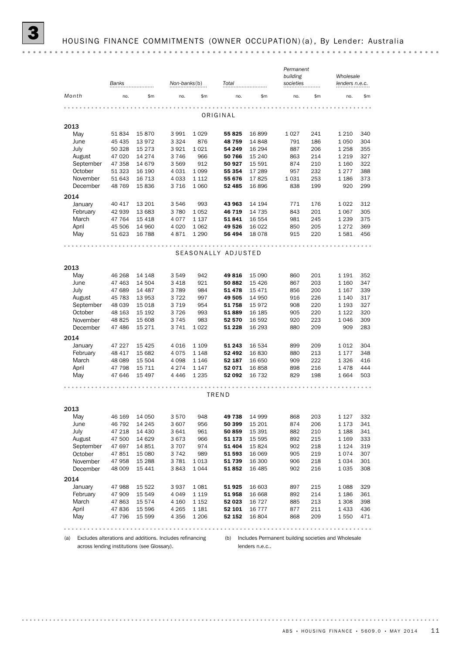| Banks                |                  |                    |              | Non-banks(b)<br>Total |                |                   | Permanent<br>building<br>societies |            | Wholesale<br>lenders n.e.c. |            |
|----------------------|------------------|--------------------|--------------|-----------------------|----------------|-------------------|------------------------------------|------------|-----------------------------|------------|
| Month                | \$m<br>no.       |                    | no.<br>\$m   |                       | no.            | \$m               | no.                                | \$m        | \$m<br>no.                  |            |
|                      |                  |                    |              |                       |                |                   |                                    |            |                             |            |
|                      |                  |                    |              |                       | ORIGINAL       |                   |                                    |            |                             |            |
| 2013                 |                  |                    |              |                       |                |                   |                                    |            |                             |            |
| May                  | 51 834           | 15870              | 3991         | 1029                  | 55 825         | 16899             | 1 0 2 7                            | 241        | 1 2 1 0                     | 340        |
| June                 | 45 435           | 13972              | 3 3 2 4      | 876                   | 48759          | 14 848            | 791                                | 186        | 1 0 5 0                     | 304        |
| July                 | 50 328           | 15 273             | 3921         | 1021                  | 54 249         | 16 294            | 887                                | 206        | 1 2 5 8                     | 355        |
| August               | 47 020           | 14 274             | 3746         | 966                   | 50 766         | 15 240            | 863                                | 214        | 1 2 1 9                     | 327        |
| September            | 47 358           | 14 679             | 3569         | 912                   | 50 927         | 15 591            | 874                                | 210        | 1 1 6 0                     | 322        |
| October              | 51 323           | 16 190             | 4 0 3 1      | 1 0 9 9               | 55 354         | 17 289            | 957                                | 232        | 1 2 7 7                     | 388        |
| November             | 51 643           | 16 7 13            | 4 0 3 3      | 1 1 1 2               | 55 676         | 17825             | 1 0 3 1                            | 253        | 1 1 8 6                     | 373        |
| December             | 48 769           | 15836              | 3716         | 1 0 6 0               | 52 485         | 16896             | 838                                | 199        | 920                         | 299        |
| 2014                 |                  |                    |              |                       |                |                   |                                    |            |                             |            |
| January              | 40 417           | 13 201             | 3546         | 993                   | 43 963         | 14 194            | 771                                | 176        | 1 0 2 2                     | 312        |
| February             | 42 939           | 13 683             | 3780         | 1052                  | 46 719         | 14 735            | 843                                | 201        | 1 0 6 7                     | 305        |
| March                | 47 764           | 15 4 18            | 4077         | 1 1 3 7               | 51841          | 16 554            | 981                                | 245        | 1 2 3 9                     | 375        |
| April                | 45 506           | 14 960             | 4 0 2 0      | 1 0 6 2               | 49 526         | 16 0 22           | 850                                | 205        | 1 2 7 2                     | 369        |
| May                  | 51 623           | 16 788             | 4871         | 1 2 9 0               | 56 494         | 18 0 78           | 915                                | 220        | 1581                        | 456        |
| 2013<br>May          | 46 268           | 14 148             | 3549         | 942                   | 49816          | 15 090            | 860                                | 201        | 1 1 9 1                     | 352        |
|                      | 47 463           | 14 504             | 3418         | 921                   | 50 882         | 15 4 26           | 867                                | 203        | 1 1 6 0                     | 347        |
| June<br>July         | 47 689           | 14 4 8 7           | 3789         | 984                   | 51 478         | 15 471            | 856                                | 200        | 1 1 6 7                     | 339        |
| August               | 45 783           | 13 953             | 3722         | 997                   | 49 505         | 14 950            | 916                                | 226        | 1 1 4 0                     | 317        |
| September            | 48 039           | 15 018             | 3 7 1 9      | 954                   | 51758          | 15972             | 908                                | 220        | 1 1 9 3                     | 327        |
| October              | 48 163           | 15 192             | 3726         | 993                   | 51889          | 16 185            | 905                                | 220        | 1 1 2 2                     | 320        |
| November             | 48 825           | 15 608             | 3745         | 983                   | 52 570         | 16 592            | 920                                | 223        | 1 0 4 6                     | 309        |
| December             | 47 486           | 15 271             | 3741         | 1022                  | 51 228         | 16 293            | 880                                | 209        | 909                         | 283        |
| 2014                 |                  |                    |              |                       |                |                   |                                    |            |                             |            |
| January              | 47 227           | 15 4 25            | 4016         | 1 1 0 9               | 51 243         | 16 534            | 899                                | 209        | 1 0 1 2                     | 304        |
| February             | 48 417           | 15 682             | 4075         | 1 1 4 8               | 52 492         | 16830             | 880                                | 213        | 1 1 7 7                     | 348        |
| March                | 48 089           | 15 504             | 4 0 9 8      | 1 1 4 6               | 52 187         | 16 650            | 909                                | 222        | 1 3 2 6                     | 416        |
|                      | 47 798           | 15 7 11            |              |                       |                |                   |                                    | 216        | 1478                        | 444        |
| April                |                  |                    | 4 2 7 4      | 1 1 4 7               | 52 071         | 16858             | 898                                |            |                             |            |
| May                  | 47 646           | 15 4 97            | 4 4 4 6      | 1 2 3 5               | 52 092         | 16 7 32           | 829                                | 198        | 1664                        |            |
|                      |                  |                    |              |                       |                |                   |                                    |            |                             |            |
|                      |                  |                    |              |                       | TREND          |                   |                                    |            |                             |            |
|                      |                  |                    |              |                       |                |                   |                                    |            |                             |            |
| May                  | 46 169           | 14 050             | 3570         | 948                   | 49 738         | 14 999            | 868                                | 203        | 1 1 2 7                     | 503<br>332 |
| June                 | 46 792           | 14 245             | 3 607        | 956                   | 50 399         | 15 201            | 874                                | 206        | 1 1 7 3                     | 341        |
| July                 | 47 218           | 14 4 30            | 3641         | 961                   | 50 859         | 15 391            | 882                                | 210        | 1 1 8 8                     | 341        |
| August               | 47 500           | 14 6 29            | 3673         | 966                   | 51 173         | 15 5 95           | 892                                | 215        | 1 1 6 9                     | 333        |
| September            | 47 697           | 14 851             | 3707         | 974                   | 51 404         | 15824             | 902                                | 218        | 1 1 2 4                     |            |
| 2013<br>October      | 47851            | 15 080             | 3742         | 989                   | 51 593         | 16 069            | 905                                | 219        | 1074                        | 319<br>307 |
| November<br>December | 47 958<br>48 009 | 15 288<br>15 4 4 1 | 3781<br>3843 | 1013<br>1044          | 51739<br>51852 | 16 300<br>16 4 85 | 906<br>902                         | 218<br>216 | 1 0 3 4<br>1 0 3 5          | 301<br>308 |

May 47 796 15 599 4 356 1 206 52 152 16 804 868 209 1 550 471 

April 47 836 15 596 4 265 1 181 **52 101** 16 777 877 211 1 433 436 March 47 863 15 574 4 160 1 152 **52 023** 16 727 885 213 1 308 398 February 47 909 15 549 4 049 1119 51 958 16 668 892 214 1186 361 January 47 988 15 522 3937 1081 51 925 16 603 897 215 1088 329

(a) Excludes alterations and additions. Includes refinancing (b) Includes Permanent building societies and Wholesale

across lending institutions (see Glossary).

lenders n.e.c..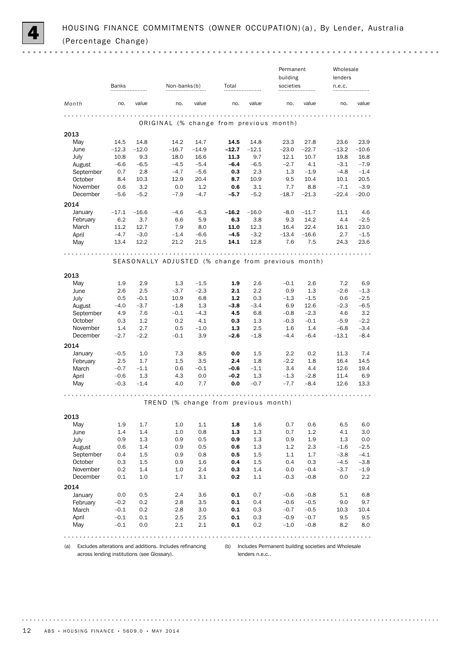

 $0.000$ 

|                     |            |            |                                                          |               |            |            | Permanent     |                  | Wholesale                                               |               |
|---------------------|------------|------------|----------------------------------------------------------|---------------|------------|------------|---------------|------------------|---------------------------------------------------------|---------------|
|                     |            |            |                                                          |               |            |            | building      |                  | lenders                                                 |               |
|                     | Banks      |            | Non-banks(b)                                             |               | Total      |            | societies     |                  | n.e.c.                                                  |               |
|                     |            |            |                                                          |               |            |            |               |                  |                                                         |               |
| Month               | no.        | value      | no.                                                      | value         | no.        | value      | no.           | value            | no.                                                     | value         |
|                     |            |            |                                                          |               |            |            |               |                  |                                                         |               |
|                     |            |            | ORIGINAL (% change from previous month)                  |               |            |            |               |                  |                                                         |               |
| 2013                |            |            |                                                          |               |            |            |               |                  |                                                         |               |
| May                 | 14.5       | 14.8       | 14.2                                                     | 14.7          | 14.5       | 14.8       | 23.3          | 27.8             | 23.6                                                    | 23.9          |
| June                | $-12.3$    | $-12.0$    | $-16.7$                                                  | $-14.9$       | $-12.7$    | $-12.1$    | $-23.0$       | $-22.7$          | $-13.2$                                                 | $-10.6$       |
| July                | 10.8       | 9.3        | 18.0                                                     | 16.6          | 11.3       | 9.7        | 12.1          | 10.7             | 19.8                                                    | 16.8          |
| August              | $-6.6$     | $-6.5$     | $-4.5$                                                   | $-5.4$        | $-6.4$     | $-6.5$     | $-2.7$        | 4.1              | $-3.1$                                                  | $-7.9$        |
| September           | 0.7        | 2.8        | $-4.7$                                                   | $-5.6$        | 0.3        | 2.3        | 1.3           | $-1.9$           | $-4.8$                                                  | $-1.4$        |
| October             | 8.4        | 10.3       | 12.9                                                     | 20.4          | 8.7        | 10.9       | 9.5           | 10.4             | 10.1                                                    | 20.5          |
| November            | 0.6        | 3.2        | 0.0                                                      | 1.2           | 0.6        | 3.1        | 7.7           | 8.8              | $-7.1$                                                  | $-3.9$        |
| December            | $-5.6$     | $-5.2$     | $-7.9$                                                   | $-4.7$        | $-5.7$     | $-5.2$     | $-18.7$       | $-21.3$          | $-22.4$                                                 | $-20.0$       |
| 2014                |            |            |                                                          |               |            |            |               |                  |                                                         |               |
| January             | $-17.1$    | $-16.6$    | $-4.6$                                                   | $-6.3$        | $-16.2$    | $-16.0$    | $-8.0$        | $-11.7$          | 11.1                                                    | 4.6           |
| February            | 6.2        | 3.7        | 6.6                                                      | 5.9           | 6.3        | 3.8        | 9.3           | 14.2             | 4.4                                                     | $-2.5$        |
| March               | 11.2       | 12.7       | 7.9                                                      | 8.0           | 11.0       | 12.3       | 16.4          | 22.4             | 16.1                                                    | 23.0          |
| April               | $-4.7$     | $-3.0$     | $-1.4$                                                   | $-6.6$        | $-4.5$     | $-3.2$     | $-13.4$       | $-16.6$          | 2.7                                                     | $-1.5$        |
| May                 | 13.4       | 12.2       | 21.2                                                     | 21.5          | 14.1       | 12.8       | 7.6           | 7.5              | 24.3                                                    | 23.6          |
|                     |            |            |                                                          |               |            |            |               |                  |                                                         |               |
|                     |            |            |                                                          |               | $- - -$    |            |               |                  |                                                         |               |
|                     |            |            | SEASONALLY ADJUSTED (% change from previous month)       |               |            |            |               |                  |                                                         |               |
|                     |            |            |                                                          |               |            |            |               |                  |                                                         |               |
| 2013                |            |            |                                                          |               |            |            |               |                  |                                                         |               |
| May                 | 1.9        | 2.9        | 1.3                                                      | $-1.5$        | 1.9        | 2.6        | $-0.1$        | 2.6              | 7.2                                                     | 6.9           |
| June                | 2.6        | 2.5        | $-3.7$                                                   | $-2.3$        | 2.1        | 2.2        | 0.9           | 1.3              | $-2.6$                                                  | $-1.3$        |
| July                | 0.5        | $-0.1$     | 10.9                                                     | 6.8           | 1.2        | 0.3        | $-1.3$        | $-1.5$           | 0.6                                                     | $-2.5$        |
| August              | $-4.0$     | $-3.7$     | $-1.8$                                                   | 1.3           | $-3.8$     | $-3.4$     | 6.9           | 12.6             | $-2.3$                                                  | $-6.5$        |
| September           | 4.9        | 7.6<br>1.2 | $-0.1$                                                   | $-4.3$        | 4.5        | 6.8        | $-0.8$        | $-2.3$<br>$-0.1$ | 4.6                                                     | 3.2<br>$-2.2$ |
| October<br>November | 0.3<br>1.4 | 2.7        | 0.2<br>0.5                                               | 4.1           | 0.3<br>1.3 | 1.3<br>2.5 | $-0.3$<br>1.6 | 1.4              | $-5.9$<br>$-6.8$                                        | $-3.4$        |
| December            | $-2.7$     | $-2.2$     | $-0.1$                                                   | $-1.0$<br>3.9 | -2.6       | $-1.8$     | $-4.4$        | $-6.4$           | $-13.1$                                                 | $-8.4$        |
|                     |            |            |                                                          |               |            |            |               |                  |                                                         |               |
| 2014                |            |            |                                                          |               |            |            |               |                  |                                                         |               |
| January             | $-0.5$     | 1.0        | 7.3                                                      | 8.5           | 0.0        | $1.5\,$    | $2.2\,$       | 0.2              | 11.3                                                    | 7.4           |
| February            | 2.5        | 1.7        | 1.5                                                      | 3.5           | 2.4        | 1.8        | $-2.2$        | 1.8              | 16.4                                                    | 14.5          |
| March               | $-0.7$     | $-1.1$     | 0.6                                                      | $-0.1$        | $-0.6$     | $-1.1$     | 3.4           | 4.4              | 12.6                                                    | 19.4          |
| April               | $-0.6$     | 1.3        | 4.3                                                      | 0.0           | $-0.2$     | 1.3        | $-1.3$        | $-2.8$           | 11.4                                                    | 6.9           |
| May                 | $-0.3$     | $-1.4$     | 4.0                                                      | 7.7           | 0.0        | $-0.7$     | $-7.7$        | $-8.4$           | 12.6                                                    | 13.3          |
|                     |            |            |                                                          |               |            |            |               |                  |                                                         |               |
|                     |            |            | TREND (% change from previous month)                     |               |            |            |               |                  |                                                         |               |
|                     |            |            |                                                          |               |            |            |               |                  |                                                         |               |
| 2013                |            |            |                                                          |               |            |            |               |                  |                                                         |               |
| May                 | 1.9        | 1.7        | 1.0                                                      | $1.1\,$       | 1.8        | 1.6        | 0.7           | 0.6              | 6.5                                                     | 6.0           |
| June                | 1.4        | 1.4        | 1.0                                                      | 0.8           | 1.3        | 1.3        | 0.7           | 1.2              | 4.1                                                     | 3.0           |
| <b>July</b>         | 0.9        | 1.3        | 0.9                                                      | 0.5           | 0.9        | 1.3        | 0.9           | 1.9              | 1.3                                                     | 0.0           |
| August              | 0.6        | 1.4        | 0.9                                                      | 0.5           | 0.6        | 1.3        | 1.2           | 2.3              | $-1.6$                                                  | $-2.5$        |
| September           | 0.4        | 1.5        | 0.9                                                      | 0.8           | 0.5        | 1.5        | 1.1           | 1.7              | $-3.8$                                                  | $-4.1$        |
| October             | 0.3        | 1.5        | 0.9                                                      | 1.6           | 0.4        | $1.5\,$    | 0.4           | 0.3              | $-4.5$                                                  | $-3.8$        |
| November            | 0.2        | 1.4        | 1.0                                                      | 2.4           | 0.3        | 1.4        | 0.0           | $-0.4$           | $-3.7$                                                  | $-1.9$        |
| December            | 0.1        | 1.0        | 1.7                                                      | 3.1           | 0.2        | 1.1        | $-0.3$        | $-0.8$           | 0.0                                                     | 2.2           |
| 2014                |            |            |                                                          |               |            |            |               |                  |                                                         |               |
| January             | 0.0        | 0.5        | 2.4                                                      | 3.6           | 0.1        | 0.7        | $-0.6$        | $-0.8$           | 5.1                                                     | 6.8           |
| February            | $-0.2$     | 0.2        | 2.8                                                      | 3.5           | 0.1        | 0.4        | $-0.6$        | $-0.5$           | 9.0                                                     | 9.7           |
| March               | $-0.1$     | 0.2        | 2.8                                                      | 3.0           | 0.1        | 0.3        | $-0.7$        | $-0.5$           | 10.3                                                    | 10.4          |
| April               | $-0.1$     | 0.1        | 2.5                                                      | $2.5\,$       | 0.1        | 0.3        | $-0.9$        | $-0.7$           | 9.5                                                     | 9.5           |
| May                 | $-0.1$     | 0.0        | 2.1                                                      | 2.1           | 0.1        | 0.2        | $-1.0$        | $-0.8$           | 8.2                                                     | 8.0           |
|                     |            |            |                                                          |               |            |            |               |                  |                                                         |               |
|                     |            |            |                                                          |               |            |            |               |                  |                                                         | .             |
| (a)                 |            |            | Excludes alterations and additions. Includes refinancing |               |            |            |               |                  | (b) Includes Permanent building societies and Wholesale |               |

across lending institutions (see Glossary).

lenders n.e.c..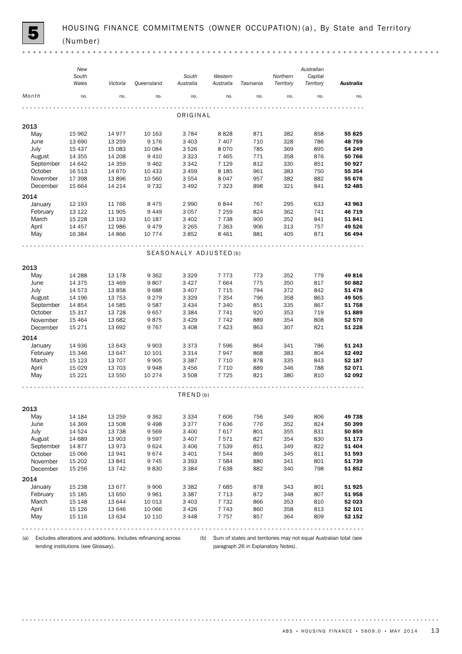|           | New<br>South<br>Wales | Victoria | Queensland | South<br>Australia      | Western<br>Australia | Tasmania | Northern<br>Territory | Australian<br>Capital<br>Territory | <b>Australia</b> |
|-----------|-----------------------|----------|------------|-------------------------|----------------------|----------|-----------------------|------------------------------------|------------------|
| Month     | no.                   | no.      | no.        | no.                     | no.                  | no.      | no.                   | no.                                | no.              |
|           |                       |          |            | ORIGINAL                |                      |          |                       |                                    |                  |
| 2013      |                       |          |            |                         |                      |          |                       |                                    |                  |
| May       | 15 962                | 14 977   | 10 163     | 3 7 8 4                 | 8828                 | 871      | 382                   | 858                                | 55 825           |
| June      | 13 690                | 13 259   | 9 1 7 6    | 3 4 0 3                 | 7 4 0 7              | 710      | 328                   | 786                                | 48759            |
| July      | 15 4 37               | 15 083   | 10 084     | 3526                    | 8070                 | 785      | 369                   | 895                                | 54 249           |
| August    | 14 3 5 5              | 14 208   | 9 4 1 0    | 3 3 2 3                 | 7 4 6 5              | 771      | 358                   | 876                                | 50 766           |
| September | 14 642                | 14 359   | 9 4 6 2    | 3 3 4 2                 | 7 1 2 9              | 812      | 330                   | 851                                | 50 927           |
| October   | 16 513                | 14 670   | 10 433     | 3 4 5 9                 | 8 1 8 5              | 961      | 383                   | 750                                | 55 354           |
| November  | 17 398                | 13896    | 10 560     | 3 5 5 4                 | 8047                 | 957      | 382                   | 882                                | 55 676           |
| December  | 15 6 64               | 14 214   | 9 7 3 2    | 3 4 9 2                 | 7 3 2 3              | 898      | 321                   | 841                                | 52 485           |
| 2014      |                       |          |            |                         |                      |          |                       |                                    |                  |
| January   | 12 193                | 11 766   | 8 4 7 5    | 2 9 9 0                 | 6844                 | 767      | 295                   | 633                                | 43 963           |
| February  | 13 122                | 11 905   | 9449       | 3 0 5 7                 | 7 2 5 9              | 824      | 362                   | 741                                | 46 719           |
| March     | 15 2 28               | 13 193   | 10 187     | 3 4 0 2                 | 7 7 3 8              | 900      | 352                   | 841                                | 51841            |
| April     | 14 457                | 12 986   | 9479       | 3 2 6 5                 | 7 3 6 3              | 906      | 313                   | 757                                | 49 526           |
| May       | 16 3 84               | 14 8 66  | 10 774     | 3852                    | 8 4 6 1              | 881      | 405                   | 871                                | 56 494           |
|           |                       |          |            |                         |                      |          |                       |                                    |                  |
|           |                       |          |            | SEASONALLY ADJUSTED (b) |                      |          |                       |                                    |                  |
| 2013      |                       |          |            |                         |                      |          |                       |                                    |                  |
| May       | 14 288                | 13 178   | 9 3 6 2    | 3 3 2 9                 | 7773                 | 773      | 352                   | 779                                | 49816            |
| June      | 14 3 7 5              | 13 4 69  | 9807       | 3 4 2 7                 | 7664                 | 775      | 350                   | 817                                | 50 882           |
| July      | 14 573                | 13858    | 9688       | 3 4 0 7                 | 7 7 1 5              | 794      | 372                   | 842                                | 51 478           |
| August    | 14 196                | 13 7 53  | 9 2 7 9    | 3 3 2 9                 | 7 3 5 4              | 796      | 358                   | 863                                | 49 505           |
| September | 14 8 54               | 14 585   | 9587       | 3 4 3 4                 | 7 3 4 0              | 851      | 335                   | 867                                | 51758            |
| October   | 15 317                | 13 7 28  | 9657       | 3 3 8 4                 | 7741                 | 920      | 353                   | 719                                | 51889            |
| November  | 15 4 64               | 13 682   | 9875       | 3 4 2 9                 | 7742                 | 889      | 354                   | 808                                | 52 570           |
| December  | 15 2 7 1              | 13 692   | 9767       | 3 4 0 8                 | 7423                 | 863      | 307                   | 821                                | 51 228           |
| 2014      |                       |          |            |                         |                      |          |                       |                                    |                  |
| January   | 14 936                | 13 643   | 9 9 0 3    | 3 3 7 3                 | 7 5 9 6              | 864      | 341                   | 786                                | 51 243           |
| February  | 15 346                | 13 647   | 10 10 1    | 3 3 1 4                 | 7947                 | 868      | 383                   | 804                                | 52 492           |
| March     | 15 1 23               | 13 707   | 9 9 0 5    | 3 3 8 7                 | 7 7 1 0              | 878      | 335                   | 843                                | 52 187           |
| April     | 15 0 29               | 13 703   | 9948       | 3 4 5 6                 | 7710                 | 889      | 346                   | 788                                | 52 071           |
| May       | 15 2 2 1              | 13 550   | 10 274     | 3 5 0 8                 | 7725                 | 821      | 380                   | 810                                | 52 092           |
|           |                       |          |            |                         |                      |          |                       |                                    |                  |
|           |                       |          |            | TRED(b)                 |                      |          |                       |                                    |                  |
| 2013      |                       |          |            |                         |                      |          |                       |                                    |                  |
| May       | 14 184                | 13 259   | 9 3 6 2    | 3 3 3 4                 | 7606                 | 756      | 349                   | 806                                | 49 738           |
| June      | 14 3 69               | 13 508   | 9498       | 3 3 7 7                 | 7636                 | 776      | 352                   | 824                                | 50 399           |
| July      | 14 5 24               | 13 7 38  | 9569       | 3 4 0 0                 | 7617                 | 801      | 355                   | 831                                | 50 859           |
| August    | 14 689                | 13 903   | 9597       | 3 4 0 7                 | 7571                 | 827      | 354                   | 830                                | 51 173           |
| September | 14877                 | 13 973   | 9624       | 3 4 0 6                 | 7 5 3 9              | 851      | 349                   | 822                                | 51 404           |
| October   | 15 0 66               | 13 941   | 9674       | 3 4 0 1                 | 7 5 4 4              | 869      | 345                   | 811                                | 51 593           |
| November  | 15 202                | 13 841   | 9745       | 3 3 9 3                 | 7 5 8 4              | 880      | 341                   | 801                                | 51739            |
| December  | 15 25 6               | 13 742   | 9830       | 3 3 8 4                 | 7638                 | 882      | 340                   | 798                                | 51 852           |
| 2014      |                       |          |            |                         |                      |          |                       |                                    |                  |
| January   | 15 2 38               | 13 677   | 9906       | 3 3 8 2                 | 7685                 | 878      | 343                   | 801                                | 51 925           |
| February  | 15 185                | 13 650   | 9961       | 3 3 8 7                 | 7713                 | 872      | 348                   | 807                                | 51 958           |
| March     | 15 148                | 13 644   | 10 013     | 3 4 0 3                 | 7 7 3 2              | 866      | 353                   | 810                                | 52 023           |
| April     | 15 1 26               | 13 646   | 10 066     | 3 4 2 6                 | 7743                 | 860      | 358                   | 813                                | 52 101           |
| May       | 15 116                | 13 634   | 10 110     | 3 4 4 8                 | 7 7 5 7              | 857      | 364                   | 809                                | 52 152           |
|           |                       |          |            |                         |                      |          |                       |                                    |                  |

(a) Excludes alterations and additions. Includes refinancing across (b) Sum of states and territories may not equal Australian total (see lending institutions (see Glossary).

paragraph 26 in Explanatory Notes).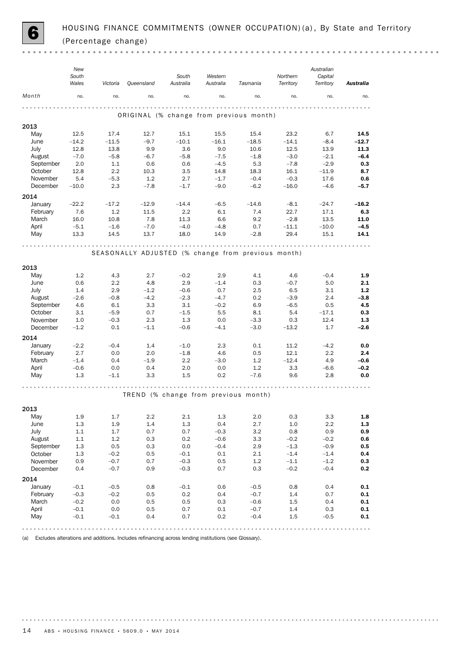

 $\sim$   $\sim$ 

|              | New<br>South<br>Wales | Victoria       | Queensland     | South<br>Australia | Western<br>Australia | Tasmania                                           | Northern<br>Territory | Australian<br>Capital<br>Territory | <b>Australia</b> |
|--------------|-----------------------|----------------|----------------|--------------------|----------------------|----------------------------------------------------|-----------------------|------------------------------------|------------------|
| Month        | no.                   | no.            | no.            | no.                | no.                  | no.                                                | no.                   | no.                                | no.              |
|              |                       |                |                |                    |                      | ORIGINAL (% change from previous month)            |                       |                                    |                  |
| 2013         |                       |                |                |                    |                      |                                                    |                       |                                    |                  |
| May          | 12.5                  | 17.4           | 12.7           | 15.1               | 15.5                 | 15.4                                               | 23.2                  | 6.7                                | 14.5             |
| June         | $-14.2$               | $-11.5$        | $-9.7$         | $-10.1$            | $-16.1$              | $-18.5$                                            | $-14.1$               | $-8.4$                             | $-12.7$          |
| July         | 12.8                  | 13.8           | 9.9            | 3.6                | 9.0                  | 10.6                                               | 12.5                  | 13.9                               | 11.3             |
| August       | $-7.0$                | $-5.8$         | $-6.7$         | $-5.8$             | $-7.5$               | $-1.8$                                             | $-3.0$                | $-2.1$                             | $-6.4$           |
| September    | 2.0                   | 1.1            | 0.6            | 0.6                | $-4.5$               | 5.3                                                | $-7.8$                | $-2.9$                             | 0.3              |
| October      | 12.8                  | 2.2            | 10.3           | 3.5                | 14.8                 | 18.3                                               | 16.1                  | $-11.9$                            | 8.7              |
| November     | 5.4                   | $-5.3$         | 1.2            | 2.7                | $-1.7$               | $-0.4$                                             | $-0.3$                | 17.6                               | 0.6              |
| December     | $-10.0$               | 2.3            | $-7.8$         | $-1.7$             | $-9.0$               | $-6.2$                                             | $-16.0$               | $-4.6$                             | $-5.7$           |
| 2014         |                       |                |                |                    |                      |                                                    |                       |                                    |                  |
| January      | $-22.2$               | $-17.2$        | $-12.9$        | $-14.4$            | $-6.5$               | $-14.6$                                            | $-8.1$                | $-24.7$                            | $-16.2$          |
| February     | 7.6                   | 1.2            | 11.5           | 2.2                | 6.1                  | 7.4                                                | 22.7                  | 17.1                               | 6.3              |
| March        | 16.0                  | 10.8           | 7.8            | 11.3               | 6.6                  | 9.2                                                | $-2.8$                | 13.5                               | 11.0             |
| April<br>May | $-5.1$<br>13.3        | $-1.6$<br>14.5 | $-7.0$<br>13.7 | $-4.0$<br>18.0     | $-4.8$<br>14.9       | 0.7<br>$-2.8$                                      | $-11.1$<br>29.4       | $-10.0$<br>15.1                    | $-4.5$<br>14.1   |
|              |                       |                |                |                    |                      |                                                    |                       |                                    |                  |
|              |                       |                |                | .                  |                      | .                                                  |                       |                                    |                  |
|              |                       |                |                |                    |                      | SEASONALLY ADJUSTED (% change from previous month) |                       |                                    |                  |
|              |                       |                |                |                    |                      |                                                    |                       |                                    |                  |
| 2013         |                       |                |                |                    |                      |                                                    |                       |                                    |                  |
| May          | 1.2                   | 4.3            | 2.7            | $-0.2$             | 2.9                  | 4.1                                                | 4.6                   | $-0.4$                             | 1.9              |
| June<br>July | 0.6<br>1.4            | 2.2<br>2.9     | 4.8<br>$-1.2$  | 2.9<br>$-0.6$      | $-1.4$<br>0.7        | 0.3<br>2.5                                         | $-0.7$<br>6.5         | 5.0<br>3.1                         | 2.1<br>$1.2\,$   |
| August       | $-2.6$                | $-0.8$         | $-4.2$         | $-2.3$             | $-4.7$               | 0.2                                                | $-3.9$                | 2.4                                | $-3.8$           |
| September    | 4.6                   | 6.1            | 3.3            | 3.1                | $-0.2$               | 6.9                                                | $-6.5$                | 0.5                                | 4.5              |
| October      | 3.1                   | $-5.9$         | 0.7            | $-1.5$             | 5.5                  | 8.1                                                | 5.4                   | $-17.1$                            | 0.3              |
| November     | 1.0                   | $-0.3$         | 2.3            | 1.3                | 0.0                  | $-3.3$                                             | 0.3                   | 12.4                               | 1.3              |
| December     | $-1.2$                | 0.1            | $-1.1$         | $-0.6$             | $-4.1$               | $-3.0$                                             | $-13.2$               | 1.7                                | $-2.6$           |
| 2014         |                       |                |                |                    |                      |                                                    |                       |                                    |                  |
| January      | $-2.2$                | $-0.4$         | 1.4            | $-1.0$             | 2.3                  | 0.1                                                | 11.2                  | $-4.2$                             | 0.0              |
| February     | 2.7                   | 0.0            | 2.0            | $-1.8$             | 4.6                  | 0.5                                                | 12.1                  | 2.2                                | 2.4              |
| March        | $-1.4$                | 0.4            | $-1.9$         | 2.2                | $-3.0$               | 1.2                                                | $-12.4$               | 4.9                                | $-0.6$           |
| April        | $-0.6$                | 0.0            | 0.4            | 2.0                | 0.0                  | 1.2                                                | 3.3                   | $-6.6$                             | $-0.2$           |
| May          | 1.3                   | $-1.1$         | 3.3            | 1.5                | 0.2                  | $-7.6$                                             | 9.6                   | 2.8                                | 0.0              |
|              |                       |                |                |                    |                      |                                                    |                       |                                    |                  |
|              |                       |                |                |                    |                      |                                                    |                       |                                    |                  |
|              |                       |                |                |                    |                      | TREND (% change from previous month)               |                       |                                    |                  |
| 2013         |                       |                |                |                    |                      |                                                    |                       |                                    |                  |
| May          | 1.9                   | 1.7            | 2.2            | 2.1                | $1.3\,$              | 2.0                                                | 0.3                   | 3.3                                | $1.8\,$          |
| June         | 1.3                   | 1.9            | 1.4            | $1.3\,$            | 0.4                  | 2.7                                                | $1.0\,$               | 2.2                                | $1.3\,$          |
| July         | 1.1                   | 1.7            | 0.7            | 0.7                | $-0.3$               | $3.2\,$                                            | 0.8                   | 0.9                                | 0.9              |
| August       | 1.1                   | 1.2            | 0.3            | 0.2                | $-0.6$               | 3.3                                                | $-0.2$                | $-0.2$                             | 0.6              |
| September    | 1.3                   | 0.5            | 0.3            | 0.0                | $-0.4$               | 2.9                                                | $-1.3$                | $-0.9$                             | 0.5              |
| October      | 1.3                   | $-0.2$         | 0.5            | $-0.1$             | 0.1                  | 2.1                                                | $-1.4$                | $-1.4$                             | 0.4              |
| November     | 0.9                   | $-0.7$         | 0.7            | $-0.3$             | 0.5                  | $1.2\,$                                            | $-1.1$                | $-1.2$                             | 0.3              |
| December     | 0.4                   | $-0.7$         | 0.9            | $-0.3$             | 0.7                  | 0.3                                                | $-0.2$                | $-0.4$                             | 0.2              |
| 2014         |                       |                |                |                    |                      |                                                    |                       |                                    |                  |
| January      | $-0.1$                | $-0.5$         | 0.8            | $-0.1$             | 0.6                  | $-0.5$                                             | $0.8\,$               | 0.4                                | $0.1\,$          |
| February     | $-0.3$                | $-0.2$         | 0.5            | 0.2                | 0.4                  | $-0.7$                                             | 1.4                   | 0.7                                | $0.1\,$          |
| March        | $-0.2$                | 0.0            | 0.5            | 0.5                | 0.3                  | $-0.6$                                             | 1.5                   | 0.4                                | $0.1\,$          |
| April        | $-0.1$                | 0.0            | 0.5            | 0.7                | $0.1\,$              | $-0.7$                                             | 1.4                   | 0.3                                | $0.1\,$          |
| May          | $-0.1$                | $-0.1$         | 0.4            | 0.7                | 0.2                  | $-0.4$                                             | $1.5\,$               | $-0.5$                             | $0.1\,$          |
|              |                       |                |                |                    |                      |                                                    |                       |                                    |                  |

(a) Excludes alterations and additions. Includes refinancing across lending institutions (see Glossary).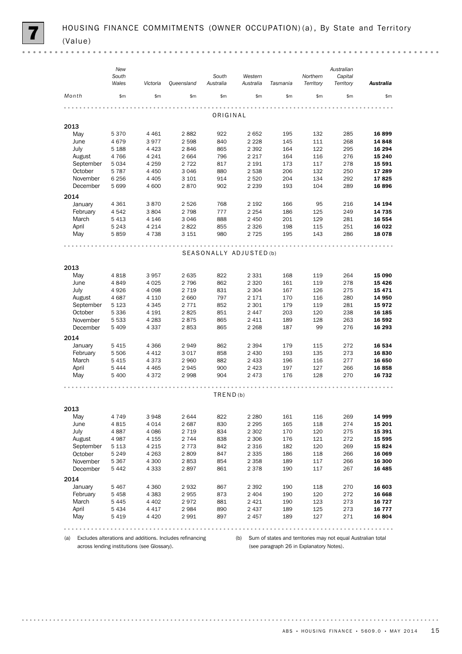|           | New<br>South<br>Wales | Victoria | Queensland | South<br>Australia      | Western<br>Australia | Tasmania | Northern<br>Territory | Australian<br>Capital<br>Territory | Australia |
|-----------|-----------------------|----------|------------|-------------------------|----------------------|----------|-----------------------|------------------------------------|-----------|
| Month     | \$m\$                 | \$m\$    | \$m\$      | \$m\$                   | \$m\$                | \$m      | \$m                   | \$m                                | \$m       |
|           |                       |          |            | ORIGINAL                |                      |          |                       |                                    |           |
| 2013      |                       |          |            |                         |                      |          |                       |                                    |           |
| May       | 5370                  | 4 4 6 1  | 2882       | 922                     | 2652                 | 195      | 132                   | 285                                | 16899     |
| June      | 4679                  | 3977     | 2598       | 840                     | 2 2 2 8              | 145      | 111                   | 268                                | 14 848    |
| July      | 5 1 8 8               | 4 4 2 3  | 2846       | 865                     | 2 3 9 2              | 164      | 122                   | 295                                | 16 294    |
| August    | 4766                  | 4 2 4 1  | 2664       | 796                     | 2 2 1 7              | 164      | 116                   | 276                                | 15 240    |
| September | 5 0 3 4               | 4 2 5 9  | 2 7 2 2    | 817                     | 2 1 9 1              | 173      | 117                   | 278                                | 15 591    |
| October   | 5787                  | 4 4 5 0  | 3 0 4 6    | 880                     | 2 5 3 8              | 206      | 132                   | 250                                | 17 289    |
| November  | 6 2 5 6               | 4 4 0 5  | 3 1 0 1    | 914                     | 2 5 2 0              | 204      | 134                   | 292                                | 17825     |
| December  | 5699                  | 4 600    | 2870       | 902                     | 2 2 3 9              | 193      | 104                   | 289                                | 16896     |
| 2014      |                       |          |            |                         |                      |          |                       |                                    |           |
| January   | 4 3 6 1               | 3870     | 2 5 2 6    | 768                     | 2 1 9 2              | 166      | 95                    | 216                                | 14 194    |
| February  | 4 5 4 2               | 3804     | 2 7 9 8    | 777                     | 2 2 5 4              | 186      | 125                   | 249                                | 14 735    |
| March     | 5413                  | 4 1 4 6  | 3 0 4 6    | 888                     | 2 4 5 0              | 201      | 129                   | 281                                | 16 554    |
| April     | 5 2 4 3               | 4 2 1 4  | 2822       | 855                     | 2 3 2 6              | 198      | 115                   | 251                                | 16 022    |
| May       | 5859                  | 4 7 3 8  | 3 1 5 1    | 980                     | 2 7 2 5              | 195      | 143                   | 286                                | 18 078    |
|           |                       |          |            |                         |                      |          |                       |                                    |           |
|           |                       |          |            | SEASONALLY ADJUSTED (b) |                      |          |                       |                                    |           |
| 2013      |                       |          |            |                         |                      |          |                       |                                    |           |
| May       | 4818                  | 3957     | 2635       | 822                     | 2 3 3 1              | 168      | 119                   | 264                                | 15 090    |
| June      | 4849                  | 4 0 25   | 2 7 9 6    | 862                     | 2 3 2 0              | 161      | 119                   | 278                                | 15 4 26   |
| July      | 4926                  | 4 0 9 8  | 2 7 1 9    | 831                     | 2 3 0 4              | 167      | 126                   | 275                                | 15 4 7 1  |
| August    | 4687                  | 4 1 1 0  | 2 6 6 0    | 797                     | 2 1 7 1              | 170      | 116                   | 280                                | 14 950    |
| September | 5 1 2 3               | 4 3 4 5  | 2 7 7 1    | 852                     | 2 3 0 1              | 179      | 119                   | 281                                | 15972     |
| October   | 5 3 3 6               | 4 1 9 1  | 2825       | 851                     | 2447                 | 203      | 120                   | 238                                | 16 185    |
| November  | 5 5 3 3               | 4 2 8 3  | 2875       | 865                     | 2 4 1 1              | 189      | 128                   | 263                                | 16 592    |
| December  | 5 4 0 9               | 4 3 3 7  | 2853       | 865                     | 2 2 6 8              | 187      | 99                    | 276                                | 16 293    |
| 2014      |                       |          |            |                         |                      |          |                       |                                    |           |
| January   | 5415                  | 4 3 6 6  | 2949       | 862                     | 2 3 9 4              | 179      | 115                   | 272                                | 16 534    |
| February  | 5 5 0 6               | 4 4 1 2  | 3017       | 858                     | 2 4 3 0              | 193      | 135                   | 273                                | 16830     |
| March     | 5415                  | 4 3 7 3  | 2 9 6 0    | 882                     | 2 4 3 3              | 196      | 116                   | 277                                | 16 650    |
| April     | 5444                  | 4 4 6 5  | 2945       | 900                     | 2 4 2 3              | 197      | 127                   | 266                                | 16858     |
| May       | 5 4 0 0               | 4372     | 2998       | 904                     | 2473                 | 176      | 128                   | 270                                | 16 732    |
|           |                       |          |            |                         |                      |          |                       |                                    |           |
|           |                       |          |            | TRED(b)                 |                      |          |                       |                                    |           |
| 2013      |                       |          |            |                         |                      |          |                       |                                    |           |
| May       | 4 7 4 9               | 3948     | 2644       | 822                     | 2 2 8 0              | 161      | 116                   | 269                                | 14 999    |
| June      | 4815                  | 4014     | 2687       | 830                     | 2 2 9 5              | 165      | 118                   | 274                                | 15 201    |
| July      | 4887                  | 4 0 8 6  | 2 7 1 9    | 834                     | 2 3 0 2              | 170      | 120                   | 275                                | 15 391    |
| August    | 4987                  | 4 1 5 5  | 2 7 4 4    | 838                     | 2 3 0 6              | 176      | 121                   | 272                                | 15 595    |
| September | 5 1 1 3               | 4 2 1 5  | 2 7 7 3    | 842                     | 2 3 1 6              | 182      | 120                   | 269                                | 15824     |
| October   | 5 2 4 9               | 4 2 6 3  | 2809       | 847                     | 2 3 3 5              | 186      | 118                   | 266                                | 16 069    |
| November  | 5 3 6 7               | 4 300    | 2853       | 854                     | 2 3 5 8              | 189      | 117                   | 266                                | 16 300    |
| December  | 5442                  | 4 3 3 3  | 2897       | 861                     | 2 3 7 8              | 190      | 117                   | 267                                | 16 4 85   |
| 2014      |                       |          |            |                         |                      |          |                       |                                    |           |
| January   | 5 4 6 7               | 4 3 6 0  | 2932       | 867                     | 2 3 9 2              | 190      | 118                   | 270                                | 16 603    |
| February  | 5458                  | 4 3 8 3  | 2955       | 873                     | 2 4 0 4              | 190      | 120                   | 272                                | 16 668    |
| March     | 5445                  | 4 4 0 2  | 2972       | 881                     | 2421                 | 190      | 123                   | 273                                | 16 727    |
| April     | 5 4 3 4               | 4 4 1 7  | 2984       | 890                     | 2 4 3 7              | 189      | 125                   | 273                                | 16 777    |
| May       | 5419                  | 4 4 2 0  | 2991       | 897                     | 2457                 | 189      | 127                   | 271                                | 16 804    |
|           |                       |          |            |                         |                      |          |                       |                                    |           |

across lending institutions (see Glossary).

(a) Excludes alterations and additions. Includes refinancing (b) Sum of states and territories may not equal Australian total (see paragraph 26 in Explanatory Notes).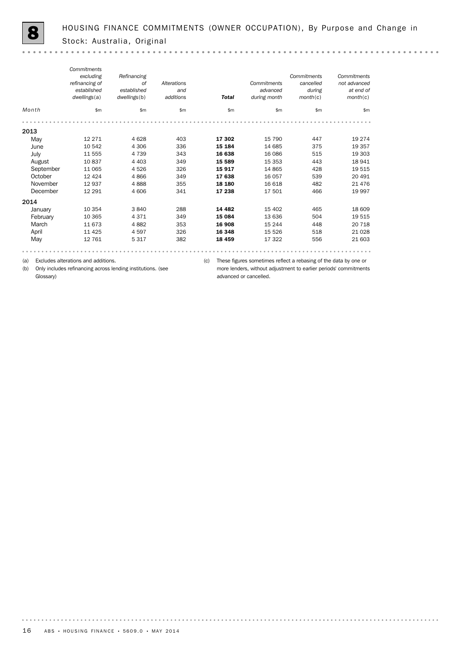|           | Commitments    |              |             |              |              |             |              |
|-----------|----------------|--------------|-------------|--------------|--------------|-------------|--------------|
|           | excluding      | Refinancing  |             |              |              | Commitments | Commitments  |
|           | refinancing of | <b>of</b>    | Alterations |              | Commitments  | cancelled   | not advanced |
|           | established    | established  | and         |              | advanced     | during      | at end of    |
|           | dwellings(a)   | dwellings(b) | additions   | <b>Total</b> | during month | month(c)    | month(c)     |
| Month     | \$m            | \$m\$        | \$m         | \$m\$        | \$m          | \$m\$       | \$m          |
|           |                |              |             |              |              |             |              |
| 2013      |                |              |             |              |              |             |              |
| May       | 12 2 7 1       | 4628         | 403         | 17 302       | 15 790       | 447         | 19 274       |
| June      | 10 542         | 4 3 0 6      | 336         | 15 184       | 14 685       | 375         | 19 357       |
| July      | 11 555         | 4 7 3 9      | 343         | 16 638       | 16 086       | 515         | 19 303       |
| August    | 10837          | 4 4 0 3      | 349         | 15 589       | 15 3 5 3     | 443         | 18 941       |
| September | 11 065         | 4526         | 326         | 15917        | 14 8 65      | 428         | 19 515       |
| October   | 12 4 24        | 4866         | 349         | 17 638       | 16 057       | 539         | 20 491       |
| November  | 12 937         | 4888         | 355         | 18 180       | 16 618       | 482         | 21 4 7 6     |
| December  | 12 291         | 4 60 6       | 341         | 17 238       | 17 501       | 466         | 19 997       |
| 2014      |                |              |             |              |              |             |              |
| January   | 10 354         | 3840         | 288         | 14 4 82      | 15 402       | 465         | 18 609       |
| February  | 10 365         | 4371         | 349         | 15 084       | 13 636       | 504         | 19 515       |
| March     | 11 673         | 4882         | 353         | 16 908       | 15 244       | 448         | 20 718       |
| April     | 11 4 25        | 4597         | 326         | 16 348       | 15 5 26      | 518         | 21 0 28      |
| May       | 12 761         | 5 3 1 7      | 382         | 18 459       | 17 322       | 556         | 21 603       |
|           |                |              |             |              |              |             |              |

(a) Excludes alterations and additions.

(b) Only includes refinancing across lending institutions. (see Glossary)

(c) These figures sometimes reflect a rebasing of the data by one or more lenders, without adjustment to earlier periods' commitments advanced or cancelled.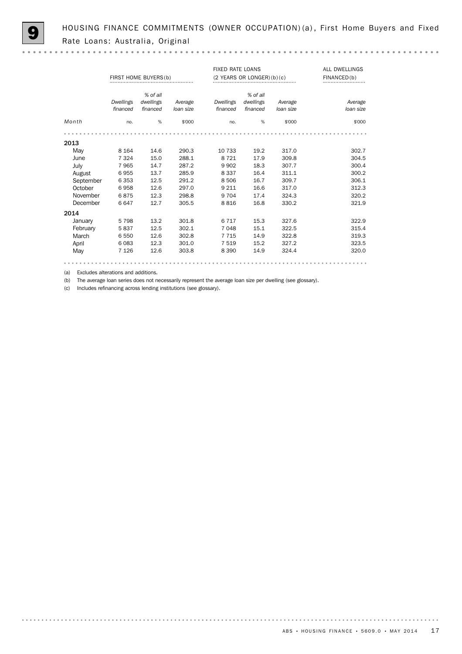HOUSING FINANCE COMMITMENTS (OWNER OCCUPATION) (a), First Home Buyers and Fixed Rate Loans: Australia, Original

|           | FIRST HOME BUYERS (b) |           |           | <b>FIXED RATE LOANS</b> | $(2$ YEARS OR LONGER $)(b)(c)$ | ALL DWELLINGS<br>FINANCED(b) |           |
|-----------|-----------------------|-----------|-----------|-------------------------|--------------------------------|------------------------------|-----------|
|           |                       | % of all  |           |                         | % of all                       |                              |           |
|           | Dwellings             | dwellings | Average   | Dwellings               | dwellings                      | Average                      | Average   |
|           | financed              | financed  | loan size | financed                | financed                       | loan size                    | loan size |
| Month     | no.                   | %         | \$'000    | no.                     | %                              | \$'000                       | \$'000    |
|           |                       |           |           |                         |                                |                              |           |
| 2013      |                       |           |           |                         |                                |                              |           |
| May       | 8 1 6 4               | 14.6      | 290.3     | 10 733                  | 19.2                           | 317.0                        | 302.7     |
| June      | 7 3 2 4               | 15.0      | 288.1     | 8 7 2 1                 | 17.9                           | 309.8                        | 304.5     |
| July      | 7965                  | 14.7      | 287.2     | 9 9 0 2                 | 18.3                           | 307.7                        | 300.4     |
| August    | 6955                  | 13.7      | 285.9     | 8 3 3 7                 | 16.4                           | 311.1                        | 300.2     |
| September | 6 3 5 3               | 12.5      | 291.2     | 8506                    | 16.7                           | 309.7                        | 306.1     |
| October   | 6958                  | 12.6      | 297.0     | 9 2 1 1                 | 16.6                           | 317.0                        | 312.3     |
| November  | 6875                  | 12.3      | 298.8     | 9 7 0 4                 | 17.4                           | 324.3                        | 320.2     |
| December  | 6647                  | 12.7      | 305.5     | 8816                    | 16.8                           | 330.2                        | 321.9     |
| 2014      |                       |           |           |                         |                                |                              |           |
| January   | 5798                  | 13.2      | 301.8     | 6 7 1 7                 | 15.3                           | 327.6                        | 322.9     |
| February  | 5837                  | 12.5      | 302.1     | 7 0 4 8                 | 15.1                           | 322.5                        | 315.4     |
| March     | 6 5 5 0               | 12.6      | 302.8     | 7 7 1 5                 | 14.9                           | 322.8                        | 319.3     |
| April     | 6083                  | 12.3      | 301.0     | 7 5 1 9                 | 15.2                           | 327.2                        | 323.5     |
| May       | 7 1 2 6               | 12.6      | 303.8     | 8 3 9 0                 | 14.9                           | 324.4                        | 320.0     |
|           |                       |           |           |                         |                                |                              |           |

(a) Excludes alterations and additions.

(b) The average loan series does not necessarily represent the average loan size per dwelling (see glossary).

(c) Includes refinancing across lending institutions (see glossary).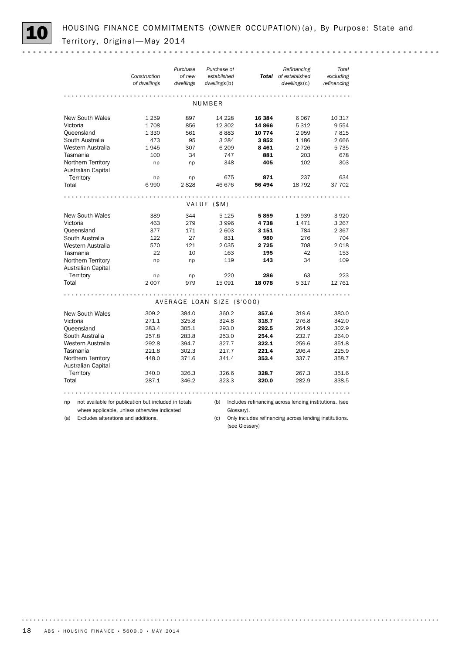

HOUSING FINANCE COMMITMENTS (OWNER OCCUPATION) (a), By Purpose: State and Territory, Original - May 2014

|                                                                                            |                                          |                                                      | Purchase                   | Purchase of                 |                                                        | Refinancing                          | Total                    |
|--------------------------------------------------------------------------------------------|------------------------------------------|------------------------------------------------------|----------------------------|-----------------------------|--------------------------------------------------------|--------------------------------------|--------------------------|
|                                                                                            |                                          | Construction<br>of dwellings                         | of new<br>dwellings        | established<br>dwellings(b) |                                                        | Total of established<br>dwellings(c) | excluding<br>refinancing |
|                                                                                            |                                          |                                                      |                            |                             |                                                        |                                      |                          |
|                                                                                            |                                          |                                                      |                            |                             |                                                        |                                      |                          |
|                                                                                            |                                          |                                                      |                            | NUMBER                      |                                                        |                                      |                          |
|                                                                                            | <b>New South Wales</b>                   | 1 2 5 9                                              | 897                        | 14 228                      | 16 384                                                 | 6 0 67                               | 10 317                   |
| Victoria                                                                                   |                                          | 1708                                                 | 856                        | 12 302                      | 14 866                                                 | 5 3 1 2                              | 9554                     |
|                                                                                            | Queensland                               | 1 3 3 0                                              | 561                        | 8883                        | 10 774                                                 | 2959                                 | 7815                     |
|                                                                                            | South Australia                          | 473                                                  | 95                         | 3 2 8 4                     | 3852                                                   | 1 1 8 6                              | 2666                     |
|                                                                                            | Western Australia                        | 1945                                                 | 307                        | 6 209                       | 8461                                                   | 2 7 2 6                              | 5 7 3 5                  |
|                                                                                            | Tasmania                                 | 100                                                  | 34                         |                             | 747<br>881                                             | 203                                  | 678                      |
|                                                                                            | Northern Territory                       | np                                                   | np                         |                             | 405<br>348                                             | 102                                  | 303                      |
|                                                                                            | Australian Capital                       |                                                      |                            |                             |                                                        |                                      |                          |
|                                                                                            | Territory                                | np                                                   | np                         |                             | 871<br>675                                             | 237                                  | 634                      |
| Total                                                                                      |                                          | 6990                                                 | 2828                       | 46 676                      | 56 494                                                 | 18 7 9 2                             | 37 702                   |
|                                                                                            |                                          |                                                      |                            |                             |                                                        |                                      |                          |
|                                                                                            |                                          |                                                      |                            | VALUE (\$M)                 |                                                        |                                      |                          |
|                                                                                            | <b>New South Wales</b>                   | 389                                                  | 344                        | 5 1 2 5                     | 5859                                                   | 1939                                 | 3920                     |
| Victoria                                                                                   |                                          | 463                                                  | 279                        | 3 9 9 6                     | 4 7 3 8                                                | 1471                                 | 3 2 6 7                  |
|                                                                                            | Queensland                               | 377                                                  | 171                        | 2 603                       | 3 1 5 1                                                | 784                                  | 2 3 6 7                  |
|                                                                                            | South Australia                          | 122                                                  | 27                         |                             | 831<br>980                                             | 276                                  | 704                      |
|                                                                                            | Western Australia                        | 570                                                  | 121                        | 2 0 3 5                     | 2725                                                   | 708                                  | 2018                     |
|                                                                                            | Tasmania                                 | 22                                                   | 10                         |                             | 163<br>195                                             | 42                                   | 153                      |
|                                                                                            | Northern Territory<br>Australian Capital | np                                                   | np                         |                             | 143<br>119                                             | 34                                   | 109                      |
|                                                                                            | Territory                                | np                                                   | np                         |                             | 220<br>286                                             | 63                                   | 223                      |
| Total                                                                                      |                                          | 2 0 0 7                                              | 979                        | 15 091                      | 18 078                                                 | 5 3 1 7                              | 12 761                   |
|                                                                                            |                                          |                                                      |                            |                             |                                                        |                                      |                          |
|                                                                                            |                                          |                                                      | AVERAGE LOAN SIZE (\$'000) |                             |                                                        |                                      |                          |
|                                                                                            | <b>New South Wales</b>                   | 309.2                                                | 384.0                      | 360.2                       | 357.6                                                  | 319.6                                | 380.0                    |
| Victoria                                                                                   |                                          | 271.1                                                | 325.8                      | 324.8                       | 318.7                                                  | 276.8                                | 342.0                    |
|                                                                                            | Queensland                               | 283.4                                                | 305.1                      | 293.0                       | 292.5                                                  | 264.9                                | 302.9                    |
|                                                                                            | South Australia                          | 257.8                                                | 283.8                      | 253.0                       | 254.4                                                  | 232.7                                | 264.0                    |
|                                                                                            | Western Australia                        | 292.8                                                | 394.7                      | 327.7                       | 322.1                                                  | 259.6                                | 351.8                    |
|                                                                                            | Tasmania                                 | 221.8                                                | 302.3                      | 217.7                       | 221.4                                                  | 206.4                                | 225.9                    |
|                                                                                            | Northern Territory                       | 448.0                                                | 371.6                      | 341.4                       | 353.4                                                  | 337.7                                | 358.7                    |
|                                                                                            | Australian Capital                       |                                                      |                            |                             |                                                        |                                      |                          |
|                                                                                            | Territory                                | 340.0                                                | 326.3                      | 326.6                       | 328.7                                                  | 267.3                                | 351.6                    |
| Total                                                                                      |                                          | 287.1                                                | 346.2                      | 323.3                       | 320.0                                                  | 282.9                                | 338.5                    |
|                                                                                            |                                          |                                                      |                            |                             |                                                        |                                      |                          |
| np                                                                                         |                                          | not available for publication but included in totals |                            | (b)                         | Includes refinancing across lending institutions. (see |                                      |                          |
|                                                                                            |                                          |                                                      |                            |                             | Glossary).                                             |                                      |                          |
| where applicable, unless otherwise indicated<br>Excludes alterations and additions.<br>(a) |                                          |                                                      |                            | (c)                         | Only includes refinancing across lending institutions. |                                      |                          |

(c) Only includes refinancing across lending institutions. (see Glossary)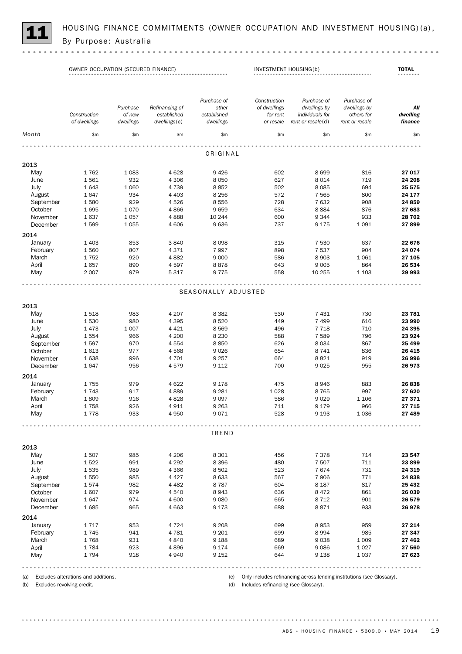

HOUSING FINANCE COMMITMENTS (OWNER OCCUPATION AND INVESTMENT HOUSING)(a), By Purpose: Australia

|             | OWNER OCCUPATION (SECURED FINANCE) |                    |                               | INVESTMENT HOUSING(b)               | <b>TOTAL</b>                             |                                                |                                           |                 |
|-------------|------------------------------------|--------------------|-------------------------------|-------------------------------------|------------------------------------------|------------------------------------------------|-------------------------------------------|-----------------|
|             | Construction                       | Purchase<br>of new | Refinancing of<br>established | Purchase of<br>other<br>established | Construction<br>of dwellings<br>for rent | Purchase of<br>dwellings by<br>individuals for | Purchase of<br>dwellings by<br>others for | All<br>dwelling |
|             | of dwellings                       | dwellings          | dwellings(c)                  | dwellings                           | or resale                                | rent or resale(d)                              | rent or resale                            | finance         |
| Month       | \$m\$                              | \$m                | \$m                           | \$m\$                               | \$m                                      | \$m\$                                          | \$m                                       | \$m\$           |
|             |                                    |                    |                               |                                     |                                          |                                                |                                           |                 |
|             |                                    |                    |                               | ORIGINAL                            |                                          |                                                |                                           |                 |
| 2013        |                                    |                    |                               |                                     |                                          |                                                |                                           |                 |
| May         | 1762                               | 1 0 8 3            | 4628                          | 9426                                | 602                                      | 8699                                           | 816                                       | 27 017          |
| June        | 1561                               | 932                | 4 3 0 6                       | 8 0 5 0                             | 627                                      | 8014                                           | 719                                       | 24 208          |
| July        | 1643                               | 1 0 6 0            | 4 7 3 9                       | 8852                                | 502                                      | 8085                                           | 694                                       | 25 575          |
| August      | 1647                               | 934                | 4 4 0 3                       | 8 2 5 6                             | 572                                      | 7 5 6 5                                        | 800                                       | 24 177          |
| September   | 1580                               | 929                | 4526                          | 8556                                | 728                                      | 7632                                           | 908                                       | 24 859          |
| October     | 1695                               | 1070               | 4866                          | 9659                                | 634                                      | 8884                                           | 876                                       | 27 683          |
| November    | 1637                               | 1057               | 4888                          | 10 244                              | 600                                      | 9344                                           | 933                                       | 28 702          |
| December    | 1599                               | 1055               | 4 6 0 6                       | 9636                                | 737                                      | 9 1 7 5                                        | 1 0 9 1                                   | 27899           |
| 2014        |                                    |                    |                               |                                     |                                          |                                                |                                           |                 |
| January     | 1 4 0 3                            | 853                | 3840                          | 8098                                | 315                                      | 7 5 3 0                                        | 637                                       | 22 676          |
| February    | 1560                               | 807                | 4371                          | 7997                                | 898                                      | 7537                                           | 904                                       | 24 074          |
| March       | 1752                               | 920                | 4882                          | 9 0 0 0                             | 586                                      | 8903                                           | 1061                                      | 27 105          |
| April       | 1657                               | 890                | 4597                          | 8878                                | 643                                      | 9 0 0 5                                        | 864                                       | 26 534          |
| May         | 2 0 0 7                            | 979                | 5 3 1 7                       | 9775                                | 558                                      | 10 255                                         | 1 1 0 3                                   | 29 993          |
|             |                                    |                    |                               |                                     |                                          |                                                |                                           |                 |
|             |                                    |                    |                               | SEASONALLY ADJUSTED                 |                                          |                                                |                                           |                 |
|             |                                    |                    |                               |                                     |                                          |                                                |                                           |                 |
| 2013<br>May | 1518                               | 983                | 4 2 0 7                       | 8 3 8 2                             | 530                                      | 7 4 3 1                                        | 730                                       | 23 781          |
| June        | 1530                               | 980                | 4 3 9 5                       | 8520                                | 449                                      | 7 4 9 9                                        | 616                                       | 23 990          |
| July        | 1473                               | 1 0 0 7            | 4 4 2 1                       | 8569                                | 496                                      | 7718                                           | 710                                       | 24 395          |
| August      | 1554                               | 966                | 4 200                         | 8 2 3 0                             | 588                                      | 7589                                           | 796                                       | 23 9 24         |
| September   | 1597                               | 970                | 4 5 5 4                       | 8850                                | 626                                      | 8034                                           | 867                                       | 25 4 99         |
| October     | 1613                               | 977                | 4568                          | 9026                                | 654                                      | 8741                                           | 836                                       | 26 415          |
| November    | 1638                               | 996                | 4 701                         | 9 2 5 7                             | 664                                      | 8821                                           | 919                                       | 26 996          |
| December    | 1647                               | 956                | 4579                          | 9 1 1 2                             | 700                                      | 9025                                           | 955                                       | 26 973          |
| 2014        |                                    |                    |                               |                                     |                                          |                                                |                                           |                 |
| January     | 1755                               | 979                | 4622                          | 9 1 7 8                             | 475                                      | 8946                                           | 883                                       | 26 838          |
| February    | 1743                               | 917                | 4889                          | 9 2 8 1                             | 1028                                     | 8765                                           | 997                                       | 27 620          |
| March       | 1809                               | 916                | 4828                          | 9097                                | 586                                      | 9029                                           | 1 1 0 6                                   | 27 371          |
| April       | 1758                               | 926                | 4911                          | 9 2 6 3                             | 711                                      | 9 1 7 9                                        | 966                                       | 27 715          |
| May         | 1778                               | 933                | 4 9 5 0                       | 9071                                | 528                                      | 9 1 9 3                                        | 1036                                      | 27 489          |
|             |                                    |                    |                               |                                     |                                          |                                                |                                           |                 |
|             |                                    |                    |                               | TREND                               |                                          |                                                |                                           |                 |
| 2013        |                                    |                    |                               |                                     |                                          |                                                |                                           |                 |
| May         | 1507                               | 985                | 4 2 0 6                       | 8 3 0 1                             | 456                                      | 7378                                           | 714                                       | 23 547          |
| June        | 1522                               | 991                | 4 2 9 2                       | 8 3 9 6                             | 480                                      | 7 5 0 7                                        | 711                                       | 23899           |
| July        | 1535                               | 989                | 4 3 6 6                       | 8 5 0 2                             | 523                                      | 7674                                           | 731                                       | 24 319          |
| August      | 1550                               | 985                | 4 4 2 7                       | 8633                                | 567                                      | 7 9 0 6                                        | 771                                       | 24 838          |
| September   | 1574                               | 982                | 4 4 8 2                       | 8787                                | 604                                      | 8 1 8 7                                        | 817                                       | 25 4 32         |
| October     | 1607                               | 979                | 4 5 4 0                       | 8943                                | 636                                      | 8472                                           | 861                                       | 26 039          |
| November    | 1647                               | 974                | 4 600                         | 9080                                | 665                                      | 8712                                           | 901                                       | 26 579          |
| December    | 1685                               | 965                | 4 6 63                        | 9 1 7 3                             | 688                                      | 8871                                           | 933                                       | 26 978          |
| 2014        |                                    |                    |                               |                                     |                                          |                                                |                                           |                 |
| January     | 1717                               | 953                | 4 7 2 4                       | 9 2 0 8                             | 699                                      | 8953                                           | 959                                       | 27 214          |
| February    | 1745                               | 941                | 4781                          | 9 2 0 1                             | 699                                      | 8994                                           | 985                                       | 27 347          |
| March       | 1768                               | 931                | 4 8 4 0                       | 9 1 8 8                             | 689                                      | 9038                                           | 1 0 0 9                                   | 27 462          |
| April       | 1784                               | 923                | 4896                          | 9 1 7 4                             | 669                                      | 9086                                           | 1027                                      | 27 560          |
| May         | 1794                               | 918                | 4 9 4 0                       | 9 1 5 2                             | 644                                      | 9 1 38                                         | 1037                                      | 27 623          |
|             |                                    |                    |                               |                                     |                                          |                                                |                                           |                 |

(a) Excludes alterations and additions.

(b) Excludes revolving credit.

(c) Only includes refinancing across lending institutions (see Glossary).

(d) Includes refinancing (see Glossary).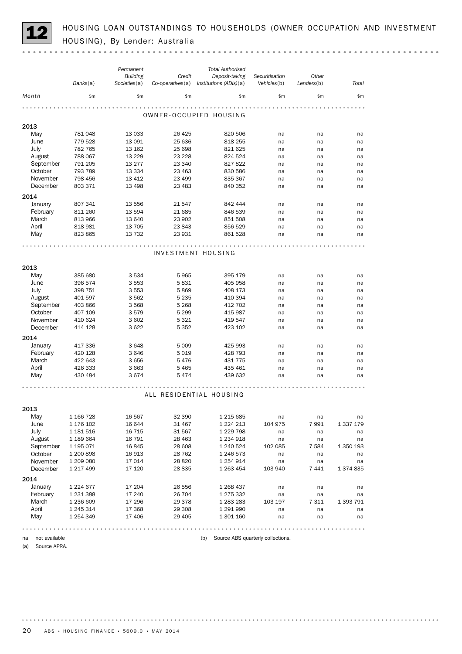HOUSING LOAN OUTSTANDINGS TO HOUSEHOLDS (OWNER OCCUPATION AND INVESTMENT<br>HOUSING), By Lender: Australia

|                      | Banks(a)               | Permanent<br><b>Building</b><br>Societies(a) | Credit<br>$Co$ -operatives $(a)$ | <b>Total Authorised</b><br>Deposit-taking<br>Institutions (ADIs)(a) | Securitisation<br>Vehicles(b)     | Other<br>Lenders(b) | Total     |
|----------------------|------------------------|----------------------------------------------|----------------------------------|---------------------------------------------------------------------|-----------------------------------|---------------------|-----------|
| Month                | \$m\$                  | \$m                                          | \$m                              | \$m\$                                                               | \$m\$                             | \$m\$               | \$m\$     |
|                      |                        |                                              |                                  |                                                                     |                                   |                     |           |
|                      |                        |                                              |                                  | OWNER-OCCUPIED HOUSING                                              |                                   |                     |           |
| 2013                 |                        |                                              |                                  |                                                                     |                                   |                     |           |
| May                  | 781 048                | 13 0 33                                      | 26 4 25                          | 820 506                                                             | na                                | na                  | na        |
| June                 | 779 528                | 13 091                                       | 25 636                           | 818 255                                                             | na                                | na                  | na        |
| July                 | 782 765                | 13 162                                       | 25 698                           | 821 625                                                             | na                                | na                  | na        |
| August               | 788 067                | 13 2 29                                      | 23 2 28                          | 824 524                                                             | na                                | na                  | na        |
| September            | 791 205                | 13 277                                       | 23 340                           | 827 822                                                             | na                                | na                  | na        |
| October              | 793 789                | 13 3 3 4                                     | 23 4 63                          | 830 586                                                             | na                                | na                  | na        |
| November<br>December | 798 456<br>803 371     | 13 4 12<br>13 4 98                           | 23 499<br>23 4 83                | 835 367<br>840 352                                                  | na                                | na                  | na        |
|                      |                        |                                              |                                  |                                                                     | na                                | na                  | na        |
| 2014                 |                        |                                              |                                  |                                                                     |                                   |                     |           |
| January              | 807 341                | 13 556                                       | 21 547                           | 842 444                                                             | na                                | na                  | na        |
| February             | 811 260                | 13 5 94                                      | 21 685                           | 846 539                                                             | na                                | na                  | na        |
| March                | 813 966                | 13 640                                       | 23 902                           | 851 508                                                             | na                                | na                  | na        |
| April                | 818 981                | 13 705                                       | 23 843                           | 856 529                                                             | na                                | na                  | na        |
| May                  | 823 865                | 13 7 32                                      | 23 931                           | 861 528                                                             | na                                | na                  | na        |
|                      |                        |                                              |                                  |                                                                     |                                   |                     |           |
|                      |                        |                                              |                                  | INVESTMENT HOUSING                                                  |                                   |                     |           |
|                      |                        |                                              |                                  |                                                                     |                                   |                     |           |
| 2013                 |                        |                                              |                                  |                                                                     |                                   |                     |           |
| May                  | 385 680                | 3 5 3 4                                      | 5965                             | 395 179                                                             | na                                | na                  | na        |
| June                 | 396 574                | 3 5 5 3                                      | 5831                             | 405 958                                                             | na                                | na                  | na        |
| July                 | 398 751                | 3 5 5 3                                      | 5869                             | 408 173                                                             | na                                | na                  | na        |
| August               | 401 597                | 3 5 6 2                                      | 5 2 3 5                          | 410 394                                                             | na                                | na                  | na        |
| September            | 403 866                | 3 5 6 8                                      | 5 2 6 8                          | 412 702                                                             | na                                | na                  | na        |
| October              | 407 109                | 3579                                         | 5 2 9 9                          | 415 987                                                             | na                                | na                  | na        |
| November             | 410 624                | 3 6 0 2                                      | 5 3 2 1                          | 419 547                                                             | na                                | na                  | na        |
| December             | 414 128                | 3622                                         | 5 3 5 2                          | 423 102                                                             | na                                | na                  | na        |
| 2014                 |                        |                                              |                                  |                                                                     |                                   |                     |           |
| January              | 417 336                | 3648                                         | 5 0 0 9                          | 425 993                                                             | na                                | na                  | na        |
| February             | 420 128                | 3646                                         | 5019                             | 428 793                                                             | na                                | na                  | na        |
| March                | 422 643                | 3656                                         | 5476                             | 431 775                                                             | na                                | na                  | na        |
| April                | 426 333                | 3 6 6 3                                      | 5 4 6 5                          | 435 461                                                             | na                                | na                  | na        |
| May                  | 430 484                | 3674                                         | 5474                             | 439 632                                                             | na                                | na                  | na        |
|                      |                        |                                              |                                  |                                                                     |                                   |                     |           |
|                      |                        |                                              |                                  | ALL RESIDENTIAL HOUSING                                             |                                   |                     |           |
|                      |                        |                                              |                                  |                                                                     |                                   |                     |           |
| 2013                 |                        |                                              |                                  |                                                                     |                                   |                     |           |
| May                  | 1 166 728              | 16 567                                       | 32 390                           | 1 2 1 5 6 8 5                                                       | na                                | na                  | na        |
| June                 | 1 176 102              | 16 644                                       | 31 467                           | 1 2 2 4 2 1 3                                                       | 104 975                           | 7991                | 1 337 179 |
| July                 | 1 181 516              | 16 7 15                                      | 31 567                           | 1 2 2 7 9 8                                                         | na                                | na                  | na        |
| August               | 1 189 664              | 16 791                                       | 28 4 63                          | 1 2 3 4 9 1 8                                                       | na                                | na                  | na        |
| September            | 1 195 071              | 16845                                        | 28 608                           | 1 240 524                                                           | 102 085                           | 7 5 8 4             | 1 350 193 |
| October              | 1 200 898<br>1 209 080 | 16913<br>17 014                              | 28 7 62                          | 1 246 573                                                           | na                                | na                  | na        |
| November<br>December |                        |                                              | 28 8 20                          | 1 254 914                                                           | na                                | na                  | na        |
|                      | 1 217 499              | 17 120                                       | 28 8 35                          | 1 263 454                                                           | 103 940                           | 7441                | 1 374 835 |
| 2014                 |                        |                                              |                                  |                                                                     |                                   |                     |           |
| January              | 1 2 2 4 6 7 7          | 17 204                                       | 26 556                           | 1 268 437                                                           | na                                | na                  | na        |
| February             | 1 231 388              | 17 240                                       | 26 704                           | 1 275 332                                                           | na                                | na                  | na        |
| March                | 1 236 609              | 17 29 6                                      | 29 378                           | 1 283 283                                                           | 103 197                           | 7 311               | 1 393 791 |
| April                | 1 245 314              | 17 368                                       | 29 308                           | 1 291 990                                                           | na                                | na                  | na        |
| May                  | 1 254 349              | 17 406                                       | 29 4 05                          | 1 301 160                                                           | na                                | na                  | na        |
|                      |                        |                                              |                                  |                                                                     |                                   |                     |           |
| not available<br>na  |                        |                                              |                                  | (b)                                                                 | Source ABS quarterly collections. |                     |           |

(a) Source APRA.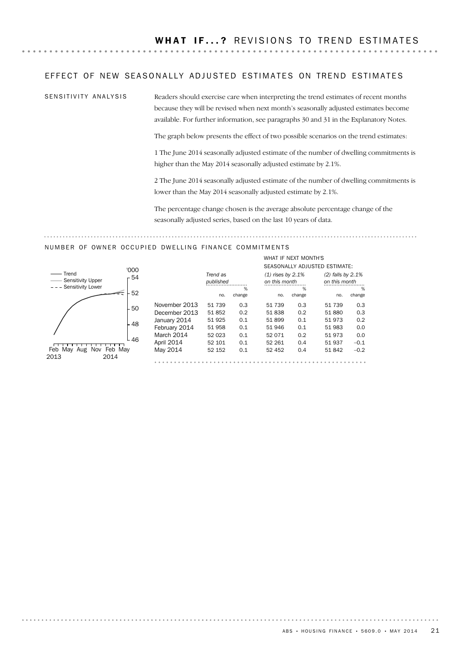### EFFECT OF NEW SEASONALLY ADJUSTED ESTIMATES ON TREND ESTIMATES

SENSITIVITY ANALYSIS

Readers should exercise care when interpreting the trend estimates of recent months because they will be revised when next month's seasonally adjusted estimates become available. For further information, see paragraphs 30 and 31 in the Explanatory Notes.

The graph below presents the effect of two possible scenarios on the trend estimates:

1 The June 2014 seasonally adjusted estimate of the number of dwelling commitments is higher than the May 2014 seasonally adjusted estimate by 2.1%.

2 The June 2014 seasonally adjusted estimate of the number of dwelling commitments is lower than the May 2014 seasonally adjusted estimate by 2.1%.

The percentage change chosen is the average absolute percentage change of the seasonally adjusted series, based on the last 10 years of data.

### NUMBER OF OWNER OCCUPIED DWELLING FINANCE COMMITMENTS



|               | Trend as<br>published |        | $(1)$ rises by 2.1%<br>on this month | WHAT IF NEXT MONTH'S | SEASONALLY ADJUSTED ESTIMATE:<br>$(2)$ falls by 2.1%<br>on this month |        |
|---------------|-----------------------|--------|--------------------------------------|----------------------|-----------------------------------------------------------------------|--------|
|               |                       | %      |                                      | %                    |                                                                       | %      |
|               | no.                   | change | no.                                  | change               | no.                                                                   | change |
|               |                       |        |                                      |                      |                                                                       |        |
| November 2013 | 51 739                | 0.3    | 51 739                               | 0.3                  | 51 739                                                                | 0.3    |
| December 2013 | 51852                 | 0.2    | 51838                                | 0.2                  | 51 880                                                                | 0.3    |
| January 2014  | 51 925                | 0.1    | 51899                                | 0.1                  | 51 973                                                                | 0.2    |
| February 2014 | 51 958                | 0.1    | 51 946                               | 0.1                  | 51 983                                                                | 0.0    |
| March 2014    | 52 023                | 0.1    | 52 071                               | 0.2                  | 51 973                                                                | 0.0    |
| April 2014    | 52 101                | 0.1    | 52 261                               | 0.4                  | 51 937                                                                | $-0.1$ |
| May 2014      | 52 152                | 0.1    | 52 452                               | 0.4                  | 51 842                                                                | $-0.2$ |
|               |                       |        |                                      |                      |                                                                       |        |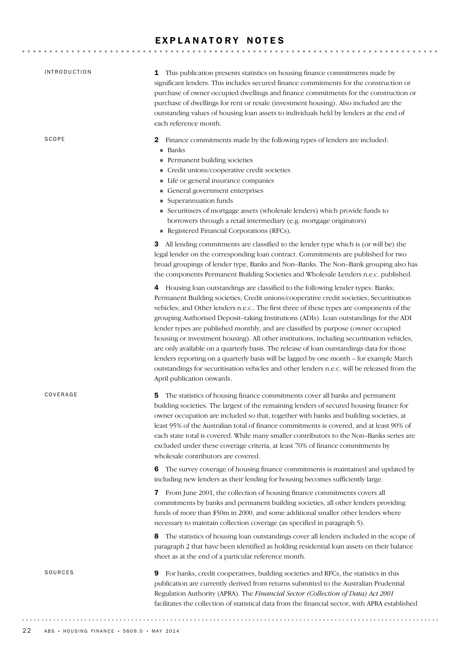### EXPLANATORY NOTES

| <b>INTRODUCTION</b> | This publication presents statistics on housing finance commitments made by<br>1<br>significant lenders. This includes secured finance commitments for the construction or<br>purchase of owner occupied dwellings and finance commitments for the construction or<br>purchase of dwellings for rent or resale (investment housing). Also included are the<br>outstanding values of housing loan assets to individuals held by lenders at the end of<br>each reference month.                                                                                                                                                                                                                                                                                                                                                                                         |
|---------------------|-----------------------------------------------------------------------------------------------------------------------------------------------------------------------------------------------------------------------------------------------------------------------------------------------------------------------------------------------------------------------------------------------------------------------------------------------------------------------------------------------------------------------------------------------------------------------------------------------------------------------------------------------------------------------------------------------------------------------------------------------------------------------------------------------------------------------------------------------------------------------|
| SCOPE               | Finance commitments made by the following types of lenders are included:<br>2<br>Banks<br>٠<br>Permanent building societies<br>Credit unions/cooperative credit societies<br>Life or general insurance companies<br>General government enterprises<br>Superannuation funds<br>Securitisers of mortgage assets (wholesale lenders) which provide funds to<br>ш<br>borrowers through a retail intermediary (e.g. mortgage originators)<br>Registered Financial Corporations (RFCs).                                                                                                                                                                                                                                                                                                                                                                                     |
|                     | 3 All lending commitments are classified to the lender type which is (or will be) the<br>legal lender on the corresponding loan contract. Commitments are published for two<br>broad groupings of lender type, Banks and Non-Banks. The Non-Bank grouping also has<br>the components Permanent Building Societies and Wholesale Lenders n.e.c. published.                                                                                                                                                                                                                                                                                                                                                                                                                                                                                                             |
|                     | 4 Housing loan outstandings are classified to the following lender types: Banks;<br>Permanent Building societies; Credit unions/cooperative credit societies; Securitisation<br>vehicles; and Other lenders n.e.c The first three of these types are components of the<br>grouping Authorised Deposit-taking Institutions (ADIs). Loan outstandings for the ADI<br>lender types are published monthly, and are classified by purpose (owner occupied<br>housing or investment housing). All other institutions, including securitisation vehicles,<br>are only available on a quarterly basis. The release of loan outstandings data for those<br>lenders reporting on a quarterly basis will be lagged by one month - for example March<br>outstandings for securitisation vehicles and other lenders n.e.c. will be released from the<br>April publication onwards. |
| COVERAGE            | The statistics of housing finance commitments cover all banks and permanent<br>5<br>building societies. The largest of the remaining lenders of secured housing finance for<br>owner occupation are included so that, together with banks and building societies, at<br>least 95% of the Australian total of finance commitments is covered, and at least 90% of<br>each state total is covered. While many smaller contributors to the Non-Banks series are<br>excluded under these coverage criteria, at least 70% of finance commitments by<br>wholesale contributors are covered.                                                                                                                                                                                                                                                                                 |
|                     | The survey coverage of housing finance commitments is maintained and updated by<br>6<br>including new lenders as their lending for housing becomes sufficiently large.                                                                                                                                                                                                                                                                                                                                                                                                                                                                                                                                                                                                                                                                                                |
|                     | 7 From June 2001, the collection of housing finance commitments covers all<br>commitments by banks and permanent building societies, all other lenders providing<br>funds of more than \$50m in 2000, and some additional smaller other lenders where<br>necessary to maintain collection coverage (as specified in paragraph 5).                                                                                                                                                                                                                                                                                                                                                                                                                                                                                                                                     |
|                     | The statistics of housing loan outstandings cover all lenders included in the scope of<br>8<br>paragraph 2 that have been identified as holding residential loan assets on their balance<br>sheet as at the end of a particular reference month.                                                                                                                                                                                                                                                                                                                                                                                                                                                                                                                                                                                                                      |
| SOURCES             | For banks, credit cooperatives, building societies and RFCs, the statistics in this<br>9<br>publication are currently derived from returns submitted to the Australian Prudential<br>Regulation Authority (APRA). The Financial Sector (Collection of Data) Act 2001<br>facilitates the collection of statistical data from the financial sector, with APRA established                                                                                                                                                                                                                                                                                                                                                                                                                                                                                               |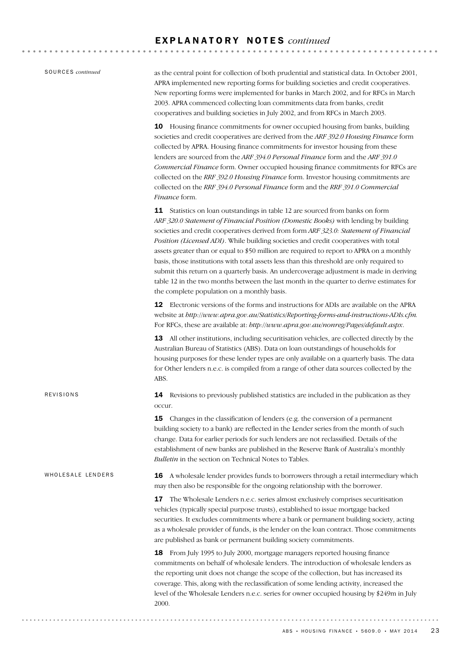| SOURCES <i>continued</i> |
|--------------------------|
|                          |

WHOLESALE LENDERS

REVISIONS

as the central point for collection of both prudential and statistical data. In October 2001, APRA implemented new reporting forms for building societies and credit cooperatives. New reporting forms were implemented for banks in March 2002, and for RFCs in March 2003. APRA commenced collecting loan commitments data from banks, credit cooperatives and building societies in July 2002, and from RFCs in March 2003.

10 Housing finance commitments for owner occupied housing from banks, building societies and credit cooperatives are derived from the *ARF 392.0 Housing Finance* form collected by APRA. Housing finance commitments for investor housing from these lenders are sourced from the *ARF 394.0 Personal Finance* form and the *ARF 391.0 Commercial Finance* form. Owner occupied housing finance commitments for RFCs are collected on the *RRF 392.0 Housing Finance* form. Investor housing commitments are collected on the *RRF 394.0 Personal Finance* form and the *RRF 391.0 Commercial Finance* form.

11 Statistics on loan outstandings in table 12 are sourced from banks on form *ARF 320.0 Statement of Financial Position (Domestic Books)* with lending by building societies and credit cooperatives derived from form *ARF 323.0: Statement of Financial Position (Licensed ADI)*. While building societies and credit cooperatives with total assets greater than or equal to \$50 million are required to report to APRA on a monthly basis, those institutions with total assets less than this threshold are only required to submit this return on a quarterly basis. An undercoverage adjustment is made in deriving table 12 in the two months between the last month in the quarter to derive estimates for the complete population on a monthly basis.

12 Electronic versions of the forms and instructions for ADIs are available on the APRA website at *http://www.apra.gov.au/Statistics/Reporting-forms-and-instructions-ADIs.cfm.* For RFCs, these are available at: *http://www.apra.gov.au/nonreg/Pages/default.aspx*.

13 All other institutions, including securitisation vehicles, are collected directly by the Australian Bureau of Statistics (ABS). Data on loan outstandings of households for housing purposes for these lender types are only available on a quarterly basis. The data for Other lenders n.e.c. is compiled from a range of other data sources collected by the ABS.

14 Revisions to previously published statistics are included in the publication as they occur.

**15** Changes in the classification of lenders (e.g. the conversion of a permanent building society to a bank) are reflected in the Lender series from the month of such change. Data for earlier periods for such lenders are not reclassified. Details of the establishment of new banks are published in the Reserve Bank of Australia's monthly *Bulletin* in the section on Technical Notes to Tables.

16 A wholesale lender provides funds to borrowers through a retail intermediary which may then also be responsible for the ongoing relationship with the borrower.

> 17 The Wholesale Lenders n.e.c. series almost exclusively comprises securitisation vehicles (typically special purpose trusts), established to issue mortgage backed securities. It excludes commitments where a bank or permanent building society, acting as a wholesale provider of funds, is the lender on the loan contract. Those commitments are published as bank or permanent building society commitments.

> 18 From July 1995 to July 2000, mortgage managers reported housing finance commitments on behalf of wholesale lenders. The introduction of wholesale lenders as the reporting unit does not change the scope of the collection, but has increased its coverage. This, along with the reclassification of some lending activity, increased the level of the Wholesale Lenders n.e.c. series for owner occupied housing by \$249m in July 2000.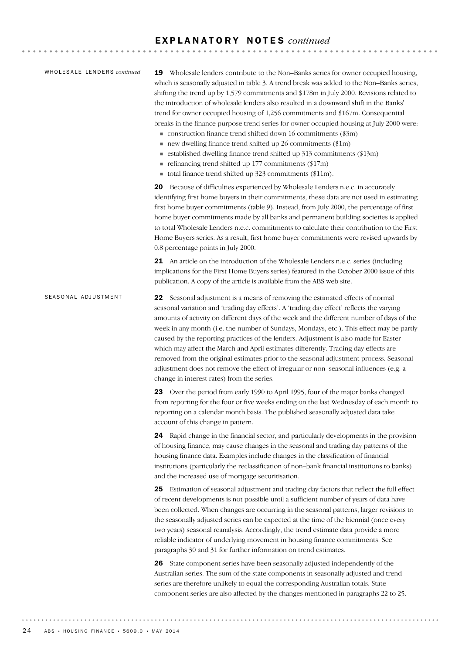### E X P L A N A T O R Y N O T E S *continued*

### WHOLESALE LENDERS *continued*

19 Wholesale lenders contribute to the Non–Banks series for owner occupied housing, which is seasonally adjusted in table 3. A trend break was added to the Non–Banks series, shifting the trend up by 1,579 commitments and \$178m in July 2000. Revisions related to the introduction of wholesale lenders also resulted in a downward shift in the Banks' trend for owner occupied housing of 1,256 commitments and \$167m. Consequential breaks in the finance purpose trend series for owner occupied housing at July 2000 were:

- $\blacksquare$  construction finance trend shifted down 16 commitments (\$3m)
- $\blacksquare$  new dwelling finance trend shifted up 26 commitments (\$1m)
- ! established dwelling finance trend shifted up 313 commitments (\$13m)  $\blacksquare$  refinancing trend shifted up 177 commitments (\$17m)
- total finance trend shifted up  $323$  commitments (\$11m).
- 

20 Because of difficulties experienced by Wholesale Lenders n.e.c. in accurately identifying first home buyers in their commitments, these data are not used in estimating first home buyer commitments (table 9). Instead, from July 2000, the percentage of first home buyer commitments made by all banks and permanent building societies is applied to total Wholesale Lenders n.e.c. commitments to calculate their contribution to the First Home Buyers series. As a result, first home buyer commitments were revised upwards by 0.8 percentage points in July 2000.

21 An article on the introduction of the Wholesale Lenders n.e.c. series (including implications for the First Home Buyers series) featured in the October 2000 issue of this publication. A copy of the article is available from the ABS web site.

### 22 Seasonal adjustment is a means of removing the estimated effects of normal seasonal variation and 'trading day effects'. A 'trading day effect' reflects the varying amounts of activity on different days of the week and the different number of days of the week in any month (i.e. the number of Sundays, Mondays, etc.). This effect may be partly caused by the reporting practices of the lenders. Adjustment is also made for Easter which may affect the March and April estimates differently. Trading day effects are removed from the original estimates prior to the seasonal adjustment process. Seasonal adjustment does not remove the effect of irregular or non–seasonal influences (e.g. a change in interest rates) from the series. SEASONAL ADJUSTMENT

23 Over the period from early 1990 to April 1995, four of the major banks changed from reporting for the four or five weeks ending on the last Wednesday of each month to reporting on a calendar month basis. The published seasonally adjusted data take account of this change in pattern.

24 Rapid change in the financial sector, and particularly developments in the provision of housing finance, may cause changes in the seasonal and trading day patterns of the housing finance data. Examples include changes in the classification of financial institutions (particularly the reclassification of non–bank financial institutions to banks) and the increased use of mortgage securitisation.

25 Estimation of seasonal adjustment and trading day factors that reflect the full effect of recent developments is not possible until a sufficient number of years of data have been collected. When changes are occurring in the seasonal patterns, larger revisions to the seasonally adjusted series can be expected at the time of the biennial (once every two years) seasonal reanalysis. Accordingly, the trend estimate data provide a more reliable indicator of underlying movement in housing finance commitments. See paragraphs 30 and 31 for further information on trend estimates.

26 State component series have been seasonally adjusted independently of the Australian series. The sum of the state components in seasonally adjusted and trend series are therefore unlikely to equal the corresponding Australian totals. State component series are also affected by the changes mentioned in paragraphs 22 to 25.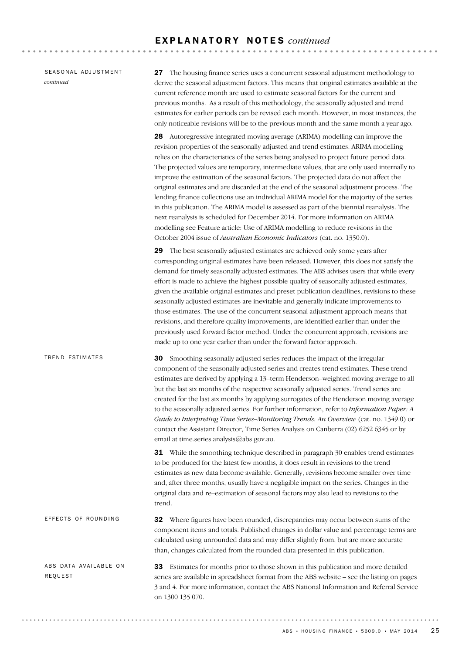### E X P L A N A T O R Y N O T E S *continued*

SEASONAL ADJUSTMENT *continued*

27 The housing finance series uses a concurrent seasonal adjustment methodology to derive the seasonal adjustment factors. This means that original estimates available at the current reference month are used to estimate seasonal factors for the current and previous months. As a result of this methodology, the seasonally adjusted and trend estimates for earlier periods can be revised each month. However, in most instances, the only noticeable revisions will be to the previous month and the same month a year ago.

28 Autoregressive integrated moving average (ARIMA) modelling can improve the revision properties of the seasonally adjusted and trend estimates. ARIMA modelling relies on the characteristics of the series being analysed to project future period data. The projected values are temporary, intermediate values, that are only used internally to improve the estimation of the seasonal factors. The projected data do not affect the original estimates and are discarded at the end of the seasonal adjustment process. The lending finance collections use an individual ARIMA model for the majority of the series in this publication. The ARIMA model is assessed as part of the biennial reanalysis. The next reanalysis is scheduled for December 2014. For more information on ARIMA modelling see Feature article: Use of ARIMA modelling to reduce revisions in the October 2004 issue of *Australian Economic Indicators* (cat. no. 1350.0).

29 The best seasonally adjusted estimates are achieved only some years after corresponding original estimates have been released. However, this does not satisfy the demand for timely seasonally adjusted estimates. The ABS advises users that while every effort is made to achieve the highest possible quality of seasonally adjusted estimates, given the available original estimates and preset publication deadlines, revisions to these seasonally adjusted estimates are inevitable and generally indicate improvements to those estimates. The use of the concurrent seasonal adjustment approach means that revisions, and therefore quality improvements, are identified earlier than under the previously used forward factor method. Under the concurrent approach, revisions are made up to one year earlier than under the forward factor approach.

30 Smoothing seasonally adjusted series reduces the impact of the irregular component of the seasonally adjusted series and creates trend estimates. These trend estimates are derived by applying a 13–term Henderson–weighted moving average to all but the last six months of the respective seasonally adjusted series. Trend series are created for the last six months by applying surrogates of the Henderson moving average to the seasonally adjusted series. For further information, refer to *Information Paper: A Guide to Interpreting Time Series–Monitoring Trends: An Overview* (cat. no. 1349.0) or contact the Assistant Director, Time Series Analysis on Canberra (02) 6252 6345 or by email at time.series.analysis@abs.gov.au. TREND ESTIMATES

> **31** While the smoothing technique described in paragraph 30 enables trend estimates to be produced for the latest few months, it does result in revisions to the trend estimates as new data become available. Generally, revisions become smaller over time and, after three months, usually have a negligible impact on the series. Changes in the original data and re–estimation of seasonal factors may also lead to revisions to the trend.

32 Where figures have been rounded, discrepancies may occur between sums of the component items and totals. Published changes in dollar value and percentage terms are calculated using unrounded data and may differ slightly from, but are more accurate than, changes calculated from the rounded data presented in this publication. EFFECTS OF ROUNDING

33 Estimates for months prior to those shown in this publication and more detailed series are available in spreadsheet format from the ABS website – see the listing on pages 3 and 4. For more information, contact the ABS National Information and Referral Service on 1300 135 070. ABS DATA AVAILABLE ON REQUEST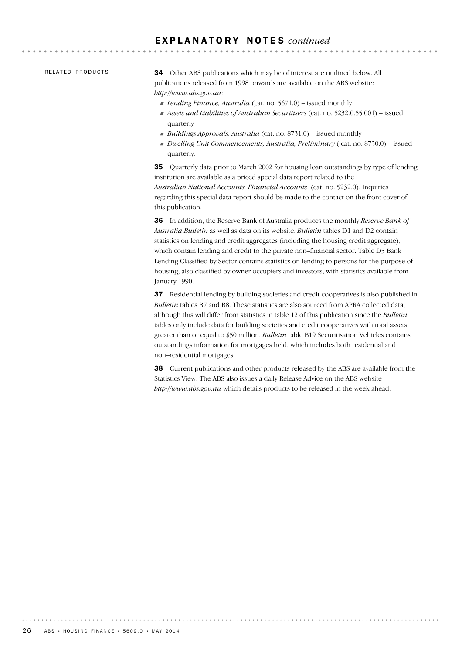### E X P L A N A T O R Y N O T E S *continued*

RELATED PRODUCTS

34 Other ABS publications which may be of interest are outlined below. All publications released from 1998 onwards are available on the ABS website: *http://www.abs.gov.au*:

! *Lending Finance, Australia* (cat. no. 5671.0) – issued monthly

- ! *Assets and Liabilities of Australian Securitisers* (cat. no. 5232.0.55.001) issued quarterly
- ! *Buildings Approvals, Australia* (cat. no. 8731.0) issued monthly
- ! *Dwelling Unit Commencements, Australia, Preliminary* ( cat. no. 8750.0) issued quarterly.

35 Quarterly data prior to March 2002 for housing loan outstandings by type of lending institution are available as a priced special data report related to the *Australian National Accounts: Financial Accounts* (cat. no. 5232.0). Inquiries regarding this special data report should be made to the contact on the front cover of this publication.

36 In addition, the Reserve Bank of Australia produces the monthly *Reserve Bank of Australia Bulletin* as well as data on its website. *Bulletin* tables D1 and D2 contain statistics on lending and credit aggregates (including the housing credit aggregate), which contain lending and credit to the private non–financial sector. Table D5 Bank Lending Classified by Sector contains statistics on lending to persons for the purpose of housing, also classified by owner occupiers and investors, with statistics available from January 1990.

37 Residential lending by building societies and credit cooperatives is also published in *Bulletin* tables B7 and B8. These statistics are also sourced from APRA collected data, although this will differ from statistics in table 12 of this publication since the *Bulletin* tables only include data for building societies and credit cooperatives with total assets greater than or equal to \$50 million. *Bulletin* table B19 Securitisation Vehicles contains outstandings information for mortgages held, which includes both residential and non–residential mortgages.

38 Current publications and other products released by the ABS are available from the Statistics View. The ABS also issues a daily Release Advice on the ABS website *http://www.abs.gov.au* which details products to be released in the week ahead.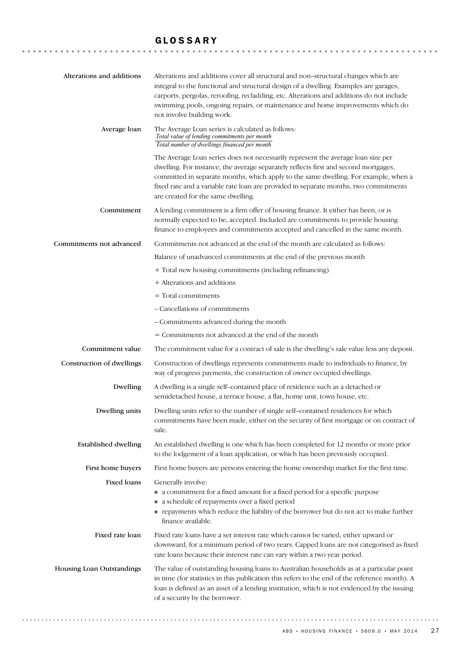### GLOSSARY

| Alterations and additions   | Alterations and additions cover all structural and non-structural changes which are<br>integral to the functional and structural design of a dwelling. Examples are garages,<br>carports, pergolas, reroofing, recladding, etc. Alterations and additions do not include<br>swimming pools, ongoing repairs, or maintenance and home improvements which do<br>not involve building work.     |
|-----------------------------|----------------------------------------------------------------------------------------------------------------------------------------------------------------------------------------------------------------------------------------------------------------------------------------------------------------------------------------------------------------------------------------------|
| Average loan                | The Average Loan series is calculated as follows:<br>Total value of lending commitments per month<br>Total number of dwellings financed per month                                                                                                                                                                                                                                            |
|                             | The Average Loan series does not necessarily represent the average loan size per<br>dwelling. For instance, the average separately reflects first and second mortgages,<br>committed in separate months, which apply to the same dwelling. For example, when a<br>fixed rate and a variable rate loan are provided in separate months, two commitments<br>are created for the same dwelling. |
| Commitment                  | A lending commitment is a firm offer of housing finance. It either has been, or is<br>normally expected to be, accepted. Included are commitments to provide housing<br>finance to employees and commitments accepted and cancelled in the same month.                                                                                                                                       |
| Commitments not advanced    | Commitments not advanced at the end of the month are calculated as follows:                                                                                                                                                                                                                                                                                                                  |
|                             | Balance of unadvanced commitments at the end of the previous month                                                                                                                                                                                                                                                                                                                           |
|                             | + Total new housing commitments (including refinancing)                                                                                                                                                                                                                                                                                                                                      |
|                             | + Alterations and additions                                                                                                                                                                                                                                                                                                                                                                  |
|                             | $=$ Total commitments                                                                                                                                                                                                                                                                                                                                                                        |
|                             | - Cancellations of commitments                                                                                                                                                                                                                                                                                                                                                               |
|                             | - Commitments advanced during the month                                                                                                                                                                                                                                                                                                                                                      |
|                             | = Commitments not advanced at the end of the month                                                                                                                                                                                                                                                                                                                                           |
| Commitment value            | The commitment value for a contract of sale is the dwelling's sale value less any deposit.                                                                                                                                                                                                                                                                                                   |
| Construction of dwellings   | Construction of dwellings represents commitments made to individuals to finance, by<br>way of progress payments, the construction of owner occupied dwellings.                                                                                                                                                                                                                               |
| Dwelling                    | A dwelling is a single self-contained place of residence such as a detached or<br>semidetached house, a terrace house, a flat, home unit, town house, etc.                                                                                                                                                                                                                                   |
| Dwelling units              | Dwelling units refer to the number of single self-contained residences for which<br>commitments have been made, either on the security of first mortgage or on contract of<br>sale.                                                                                                                                                                                                          |
| <b>Established dwelling</b> | An established dwelling is one which has been completed for 12 months or more prior<br>to the lodgement of a loan application, or which has been previously occupied.                                                                                                                                                                                                                        |
| First home buyers           | First home buyers are persons entering the home ownership market for the first time.                                                                                                                                                                                                                                                                                                         |
| Fixed loans                 | Generally involve:<br>• a commitment for a fixed amount for a fixed period for a specific purpose<br>a schedule of repayments over a fixed period<br>per repayments which reduce the liability of the borrower but do not act to make further<br>finance available.                                                                                                                          |
| Fixed rate loan             | Fixed rate loans have a set interest rate which cannot be varied, either upward or<br>downward, for a minimum period of two years. Capped loans are not categorised as fixed<br>rate loans because their interest rate can vary within a two year period.                                                                                                                                    |
| Housing Loan Outstandings   | The value of outstanding housing loans to Australian households as at a particular point<br>in time (for statistics in this publication this refers to the end of the reference month). A<br>loan is defined as an asset of a lending institution, which is not evidenced by the issuing<br>of a security by the borrower.                                                                   |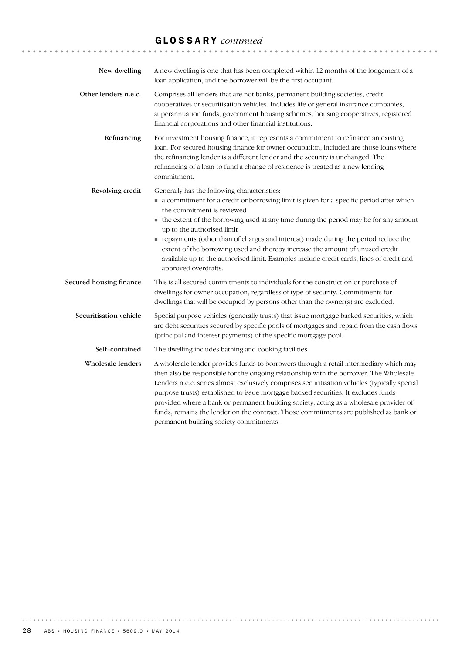# GLOSSARY *continued*

| New dwelling            | A new dwelling is one that has been completed within 12 months of the lodgement of a<br>loan application, and the borrower will be the first occupant.                                                                                                                                                                                                                                                                                                                                                                                                                                                |
|-------------------------|-------------------------------------------------------------------------------------------------------------------------------------------------------------------------------------------------------------------------------------------------------------------------------------------------------------------------------------------------------------------------------------------------------------------------------------------------------------------------------------------------------------------------------------------------------------------------------------------------------|
| Other lenders n.e.c.    | Comprises all lenders that are not banks, permanent building societies, credit<br>cooperatives or securitisation vehicles. Includes life or general insurance companies,<br>superannuation funds, government housing schemes, housing cooperatives, registered<br>financial corporations and other financial institutions.                                                                                                                                                                                                                                                                            |
| Refinancing             | For investment housing finance, it represents a commitment to refinance an existing<br>loan. For secured housing finance for owner occupation, included are those loans where<br>the refinancing lender is a different lender and the security is unchanged. The<br>refinancing of a loan to fund a change of residence is treated as a new lending<br>commitment.                                                                                                                                                                                                                                    |
| Revolving credit        | Generally has the following characteristics:<br>• a commitment for a credit or borrowing limit is given for a specific period after which<br>the commitment is reviewed<br>• the extent of the borrowing used at any time during the period may be for any amount<br>up to the authorised limit<br>repayments (other than of charges and interest) made during the period reduce the<br>extent of the borrowing used and thereby increase the amount of unused credit<br>available up to the authorised limit. Examples include credit cards, lines of credit and<br>approved overdrafts.             |
| Secured housing finance | This is all secured commitments to individuals for the construction or purchase of<br>dwellings for owner occupation, regardless of type of security. Commitments for<br>dwellings that will be occupied by persons other than the owner(s) are excluded.                                                                                                                                                                                                                                                                                                                                             |
| Securitisation vehicle  | Special purpose vehicles (generally trusts) that issue mortgage backed securities, which<br>are debt securities secured by specific pools of mortgages and repaid from the cash flows<br>(principal and interest payments) of the specific mortgage pool.                                                                                                                                                                                                                                                                                                                                             |
| Self-contained          | The dwelling includes bathing and cooking facilities.                                                                                                                                                                                                                                                                                                                                                                                                                                                                                                                                                 |
| Wholesale lenders       | A wholesale lender provides funds to borrowers through a retail intermediary which may<br>then also be responsible for the ongoing relationship with the borrower. The Wholesale<br>Lenders n.e.c. series almost exclusively comprises securitisation vehicles (typically special<br>purpose trusts) established to issue mortgage backed securities. It excludes funds<br>provided where a bank or permanent building society, acting as a wholesale provider of<br>funds, remains the lender on the contract. Those commitments are published as bank or<br>permanent building society commitments. |